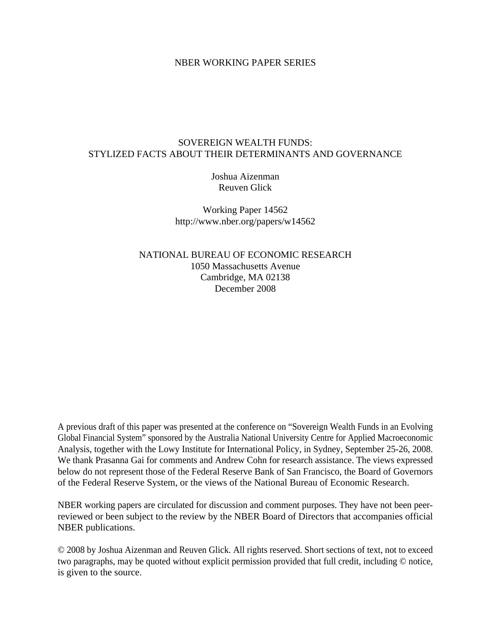# NBER WORKING PAPER SERIES

# SOVEREIGN WEALTH FUNDS: STYLIZED FACTS ABOUT THEIR DETERMINANTS AND GOVERNANCE

Joshua Aizenman Reuven Glick

Working Paper 14562 http://www.nber.org/papers/w14562

NATIONAL BUREAU OF ECONOMIC RESEARCH 1050 Massachusetts Avenue Cambridge, MA 02138 December 2008

A previous draft of this paper was presented at the conference on "Sovereign Wealth Funds in an Evolving Global Financial System" sponsored by the Australia National University Centre for Applied Macroeconomic Analysis, together with the Lowy Institute for International Policy, in Sydney, September 25-26, 2008. We thank Prasanna Gai for comments and Andrew Cohn for research assistance. The views expressed below do not represent those of the Federal Reserve Bank of San Francisco, the Board of Governors of the Federal Reserve System, or the views of the National Bureau of Economic Research.

NBER working papers are circulated for discussion and comment purposes. They have not been peerreviewed or been subject to the review by the NBER Board of Directors that accompanies official NBER publications.

© 2008 by Joshua Aizenman and Reuven Glick. All rights reserved. Short sections of text, not to exceed two paragraphs, may be quoted without explicit permission provided that full credit, including © notice, is given to the source.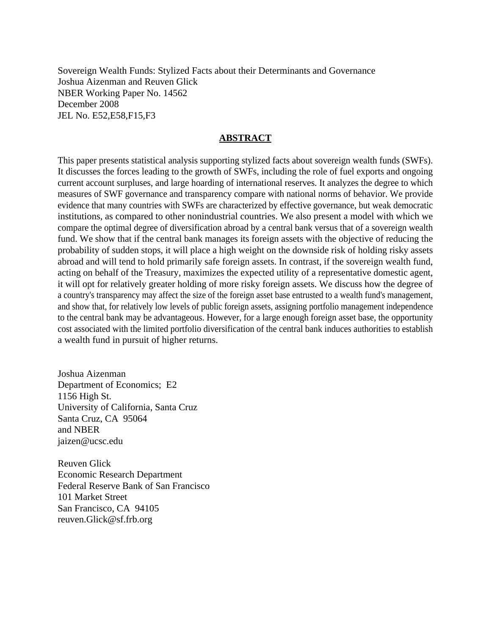Sovereign Wealth Funds: Stylized Facts about their Determinants and Governance Joshua Aizenman and Reuven Glick NBER Working Paper No. 14562 December 2008 JEL No. E52,E58,F15,F3

# **ABSTRACT**

This paper presents statistical analysis supporting stylized facts about sovereign wealth funds (SWFs). It discusses the forces leading to the growth of SWFs, including the role of fuel exports and ongoing current account surpluses, and large hoarding of international reserves. It analyzes the degree to which measures of SWF governance and transparency compare with national norms of behavior. We provide evidence that many countries with SWFs are characterized by effective governance, but weak democratic institutions, as compared to other nonindustrial countries. We also present a model with which we compare the optimal degree of diversification abroad by a central bank versus that of a sovereign wealth fund. We show that if the central bank manages its foreign assets with the objective of reducing the probability of sudden stops, it will place a high weight on the downside risk of holding risky assets abroad and will tend to hold primarily safe foreign assets. In contrast, if the sovereign wealth fund, acting on behalf of the Treasury, maximizes the expected utility of a representative domestic agent, it will opt for relatively greater holding of more risky foreign assets. We discuss how the degree of a country's transparency may affect the size of the foreign asset base entrusted to a wealth fund's management, and show that, for relatively low levels of public foreign assets, assigning portfolio management independence to the central bank may be advantageous. However, for a large enough foreign asset base, the opportunity cost associated with the limited portfolio diversification of the central bank induces authorities to establish a wealth fund in pursuit of higher returns.

Joshua Aizenman Department of Economics; E2 1156 High St. University of California, Santa Cruz Santa Cruz, CA 95064 and NBER jaizen@ucsc.edu

Reuven Glick Economic Research Department Federal Reserve Bank of San Francisco 101 Market Street San Francisco, CA 94105 reuven.Glick@sf.frb.org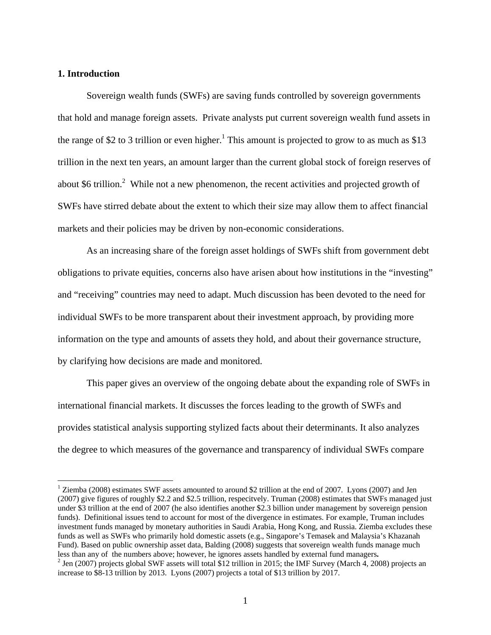# **1. Introduction**

 $\overline{a}$ 

Sovereign wealth funds (SWFs) are saving funds controlled by sovereign governments that hold and manage foreign assets. Private analysts put current sovereign wealth fund assets in the range of \$2 to 3 trillion or even higher.<sup>1</sup> This amount is projected to grow to as much as \$13 trillion in the next ten years, an amount larger than the current global stock of foreign reserves of about \$6 trillion.<sup>2</sup> While not a new phenomenon, the recent activities and projected growth of SWFs have stirred debate about the extent to which their size may allow them to affect financial markets and their policies may be driven by non-economic considerations.

As an increasing share of the foreign asset holdings of SWFs shift from government debt obligations to private equities, concerns also have arisen about how institutions in the "investing" and "receiving" countries may need to adapt. Much discussion has been devoted to the need for individual SWFs to be more transparent about their investment approach, by providing more information on the type and amounts of assets they hold, and about their governance structure, by clarifying how decisions are made and monitored.

This paper gives an overview of the ongoing debate about the expanding role of SWFs in international financial markets. It discusses the forces leading to the growth of SWFs and provides statistical analysis supporting stylized facts about their determinants. It also analyzes the degree to which measures of the governance and transparency of individual SWFs compare

<sup>&</sup>lt;sup>1</sup> Ziemba (2008) estimates SWF assets amounted to around \$2 trillion at the end of 2007. Lyons (2007) and Jen (2007) give figures of roughly \$2.2 and \$2.5 trillion, respecitvely. Truman (2008) estimates that SWFs managed just under \$3 trillion at the end of 2007 (he also identifies another \$2.3 billion under management by sovereign pension funds). Definitional issues tend to account for most of the divergence in estimates. For example, Truman includes investment funds managed by monetary authorities in Saudi Arabia, Hong Kong, and Russia. Ziemba excludes these funds as well as SWFs who primarily hold domestic assets (e.g., Singapore's Temasek and Malaysia's Khazanah Fund). Based on public ownership asset data, Balding (2008) suggests that sovereign wealth funds manage much less than any of the numbers above; however, he ignores assets handled by external fund managers**.** <sup>2</sup>

 $<sup>2</sup>$  Jen (2007) projects global SWF assets will total \$12 trillion in 2015; the IMF Survey (March 4, 2008) projects an</sup> increase to \$8-13 trillion by 2013. Lyons (2007) projects a total of \$13 trillion by 2017.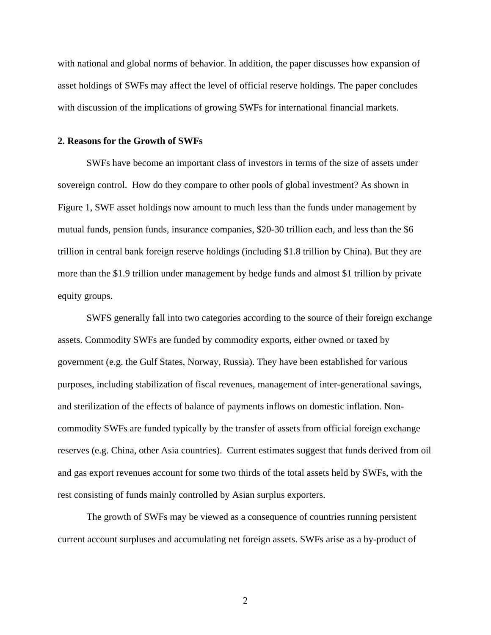with national and global norms of behavior. In addition, the paper discusses how expansion of asset holdings of SWFs may affect the level of official reserve holdings. The paper concludes with discussion of the implications of growing SWFs for international financial markets.

# **2. Reasons for the Growth of SWFs**

SWFs have become an important class of investors in terms of the size of assets under sovereign control. How do they compare to other pools of global investment? As shown in Figure 1, SWF asset holdings now amount to much less than the funds under management by mutual funds, pension funds, insurance companies, \$20-30 trillion each, and less than the \$6 trillion in central bank foreign reserve holdings (including \$1.8 trillion by China). But they are more than the \$1.9 trillion under management by hedge funds and almost \$1 trillion by private equity groups.

SWFS generally fall into two categories according to the source of their foreign exchange assets. Commodity SWFs are funded by commodity exports, either owned or taxed by government (e.g. the Gulf States, Norway, Russia). They have been established for various purposes, including stabilization of fiscal revenues, management of inter-generational savings, and sterilization of the effects of balance of payments inflows on domestic inflation. Noncommodity SWFs are funded typically by the transfer of assets from official foreign exchange reserves (e.g. China, other Asia countries). Current estimates suggest that funds derived from oil and gas export revenues account for some two thirds of the total assets held by SWFs, with the rest consisting of funds mainly controlled by Asian surplus exporters.

The growth of SWFs may be viewed as a consequence of countries running persistent current account surpluses and accumulating net foreign assets. SWFs arise as a by-product of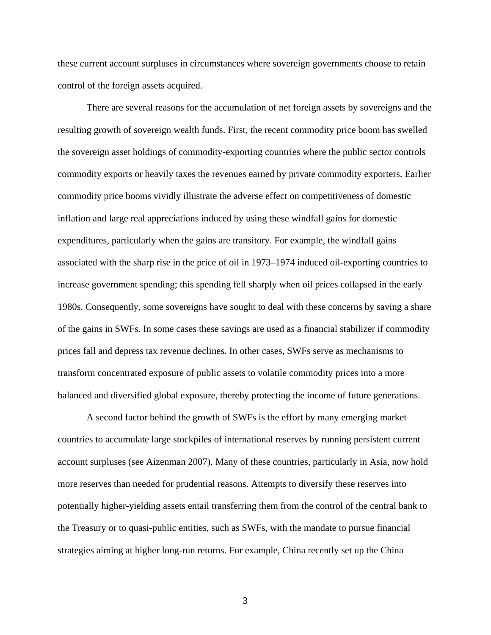these current account surpluses in circumstances where sovereign governments choose to retain control of the foreign assets acquired.

There are several reasons for the accumulation of net foreign assets by sovereigns and the resulting growth of sovereign wealth funds. First, the recent commodity price boom has swelled the sovereign asset holdings of commodity-exporting countries where the public sector controls commodity exports or heavily taxes the revenues earned by private commodity exporters. Earlier commodity price booms vividly illustrate the adverse effect on competitiveness of domestic inflation and large real appreciations induced by using these windfall gains for domestic expenditures, particularly when the gains are transitory. For example, the windfall gains associated with the sharp rise in the price of oil in 1973–1974 induced oil-exporting countries to increase government spending; this spending fell sharply when oil prices collapsed in the early 1980s. Consequently, some sovereigns have sought to deal with these concerns by saving a share of the gains in SWFs. In some cases these savings are used as a financial stabilizer if commodity prices fall and depress tax revenue declines. In other cases, SWFs serve as mechanisms to transform concentrated exposure of public assets to volatile commodity prices into a more balanced and diversified global exposure, thereby protecting the income of future generations.

A second factor behind the growth of SWFs is the effort by many emerging market countries to accumulate large stockpiles of international reserves by running persistent current account surpluses (see Aizenman 2007). Many of these countries, particularly in Asia, now hold more reserves than needed for prudential reasons. Attempts to diversify these reserves into potentially higher-yielding assets entail transferring them from the control of the central bank to the Treasury or to quasi-public entities, such as SWFs, with the mandate to pursue financial strategies aiming at higher long-run returns. For example, China recently set up the China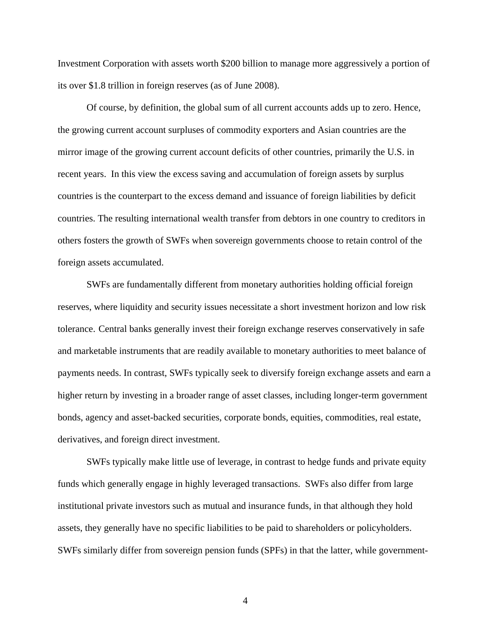Investment Corporation with assets worth \$200 billion to manage more aggressively a portion of its over \$1.8 trillion in foreign reserves (as of June 2008).

Of course, by definition, the global sum of all current accounts adds up to zero. Hence, the growing current account surpluses of commodity exporters and Asian countries are the mirror image of the growing current account deficits of other countries, primarily the U.S. in recent years. In this view the excess saving and accumulation of foreign assets by surplus countries is the counterpart to the excess demand and issuance of foreign liabilities by deficit countries. The resulting international wealth transfer from debtors in one country to creditors in others fosters the growth of SWFs when sovereign governments choose to retain control of the foreign assets accumulated.

SWFs are fundamentally different from monetary authorities holding official foreign reserves, where liquidity and security issues necessitate a short investment horizon and low risk tolerance. Central banks generally invest their foreign exchange reserves conservatively in safe and marketable instruments that are readily available to monetary authorities to meet balance of payments needs. In contrast, SWFs typically seek to diversify foreign exchange assets and earn a higher return by investing in a broader range of asset classes, including longer-term government bonds, agency and asset-backed securities, corporate bonds, equities, commodities, real estate, derivatives, and foreign direct investment.

SWFs typically make little use of leverage, in contrast to hedge funds and private equity funds which generally engage in highly leveraged transactions. SWFs also differ from large institutional private investors such as mutual and insurance funds, in that although they hold assets, they generally have no specific liabilities to be paid to shareholders or policyholders. SWFs similarly differ from sovereign pension funds (SPFs) in that the latter, while government-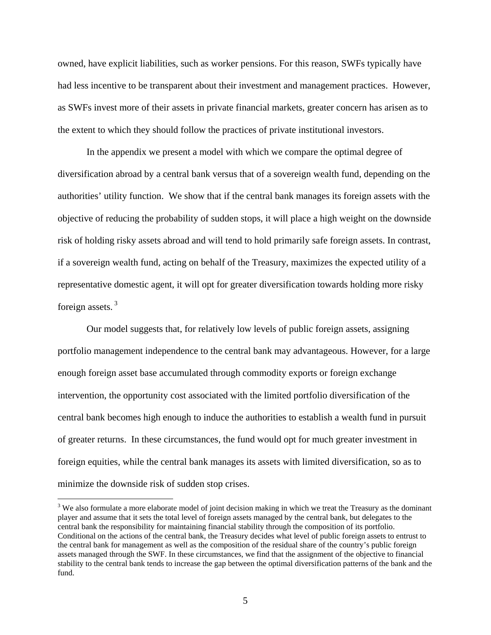owned, have explicit liabilities, such as worker pensions. For this reason, SWFs typically have had less incentive to be transparent about their investment and management practices. However, as SWFs invest more of their assets in private financial markets, greater concern has arisen as to the extent to which they should follow the practices of private institutional investors.

In the appendix we present a model with which we compare the optimal degree of diversification abroad by a central bank versus that of a sovereign wealth fund, depending on the authorities' utility function. We show that if the central bank manages its foreign assets with the objective of reducing the probability of sudden stops, it will place a high weight on the downside risk of holding risky assets abroad and will tend to hold primarily safe foreign assets. In contrast, if a sovereign wealth fund, acting on behalf of the Treasury, maximizes the expected utility of a representative domestic agent, it will opt for greater diversification towards holding more risky foreign assets. 3

Our model suggests that, for relatively low levels of public foreign assets, assigning portfolio management independence to the central bank may advantageous. However, for a large enough foreign asset base accumulated through commodity exports or foreign exchange intervention, the opportunity cost associated with the limited portfolio diversification of the central bank becomes high enough to induce the authorities to establish a wealth fund in pursuit of greater returns. In these circumstances, the fund would opt for much greater investment in foreign equities, while the central bank manages its assets with limited diversification, so as to minimize the downside risk of sudden stop crises.

 $3$  We also formulate a more elaborate model of joint decision making in which we treat the Treasury as the dominant player and assume that it sets the total level of foreign assets managed by the central bank, but delegates to the central bank the responsibility for maintaining financial stability through the composition of its portfolio. Conditional on the actions of the central bank, the Treasury decides what level of public foreign assets to entrust to the central bank for management as well as the composition of the residual share of the country's public foreign assets managed through the SWF. In these circumstances, we find that the assignment of the objective to financial stability to the central bank tends to increase the gap between the optimal diversification patterns of the bank and the fund.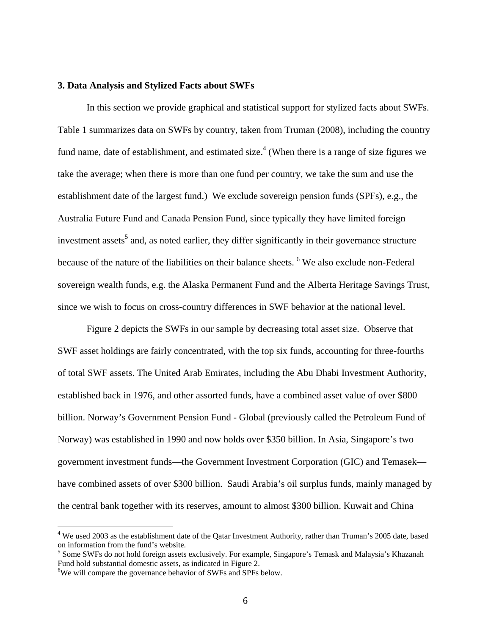## **3. Data Analysis and Stylized Facts about SWFs**

In this section we provide graphical and statistical support for stylized facts about SWFs. Table 1 summarizes data on SWFs by country, taken from Truman (2008), including the country fund name, date of establishment, and estimated size.<sup>4</sup> (When there is a range of size figures we take the average; when there is more than one fund per country, we take the sum and use the establishment date of the largest fund.) We exclude sovereign pension funds (SPFs), e.g., the Australia Future Fund and Canada Pension Fund, since typically they have limited foreign investment assets<sup>5</sup> and, as noted earlier, they differ significantly in their governance structure because of the nature of the liabilities on their balance sheets. <sup>6</sup> We also exclude non-Federal sovereign wealth funds, e.g. the Alaska Permanent Fund and the Alberta Heritage Savings Trust, since we wish to focus on cross-country differences in SWF behavior at the national level.

Figure 2 depicts the SWFs in our sample by decreasing total asset size. Observe that SWF asset holdings are fairly concentrated, with the top six funds, accounting for three-fourths of total SWF assets. The United Arab Emirates, including the Abu Dhabi Investment Authority, established back in 1976, and other assorted funds, have a combined asset value of over \$800 billion. Norway's Government Pension Fund - Global (previously called the Petroleum Fund of Norway) was established in 1990 and now holds over \$350 billion. In Asia, Singapore's two government investment funds—the Government Investment Corporation (GIC) and Temasek have combined assets of over \$300 billion. Saudi Arabia's oil surplus funds, mainly managed by the central bank together with its reserves, amount to almost \$300 billion. Kuwait and China

 $4$  We used 2003 as the establishment date of the Qatar Investment Authority, rather than Truman's 2005 date, based on information from the fund's website.

<sup>&</sup>lt;sup>5</sup> Some SWFs do not hold foreign assets exclusively. For example, Singapore's Temask and Malaysia's Khazanah Fund hold substantial domestic assets, as indicated in Figure 2.

<sup>&</sup>lt;sup>6</sup>We will compare the governance behavior of SWFs and SPFs below.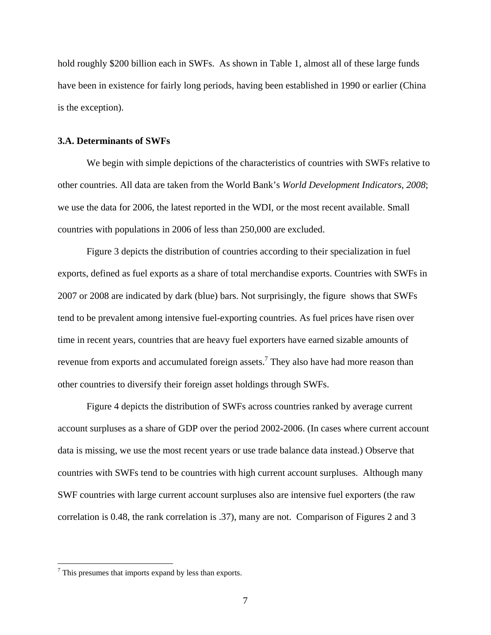hold roughly \$200 billion each in SWFs. As shown in Table 1, almost all of these large funds have been in existence for fairly long periods, having been established in 1990 or earlier (China is the exception).

# **3.A. Determinants of SWFs**

We begin with simple depictions of the characteristics of countries with SWFs relative to other countries. All data are taken from the World Bank's *World Development Indicators*, *2008*; we use the data for 2006, the latest reported in the WDI, or the most recent available. Small countries with populations in 2006 of less than 250,000 are excluded.

Figure 3 depicts the distribution of countries according to their specialization in fuel exports, defined as fuel exports as a share of total merchandise exports. Countries with SWFs in 2007 or 2008 are indicated by dark (blue) bars. Not surprisingly, the figure shows that SWFs tend to be prevalent among intensive fuel-exporting countries. As fuel prices have risen over time in recent years, countries that are heavy fuel exporters have earned sizable amounts of revenue from exports and accumulated foreign assets.<sup>7</sup> They also have had more reason than other countries to diversify their foreign asset holdings through SWFs.

Figure 4 depicts the distribution of SWFs across countries ranked by average current account surpluses as a share of GDP over the period 2002-2006. (In cases where current account data is missing, we use the most recent years or use trade balance data instead.) Observe that countries with SWFs tend to be countries with high current account surpluses. Although many SWF countries with large current account surpluses also are intensive fuel exporters (the raw correlation is 0.48, the rank correlation is .37), many are not. Comparison of Figures 2 and 3

 $7$  This presumes that imports expand by less than exports.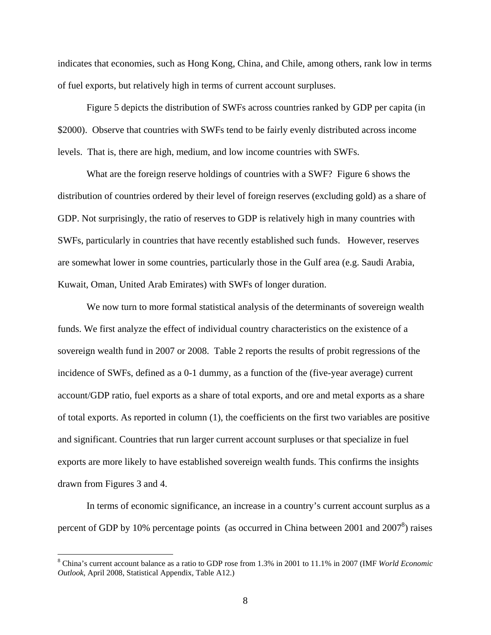indicates that economies, such as Hong Kong, China, and Chile, among others, rank low in terms of fuel exports, but relatively high in terms of current account surpluses.

Figure 5 depicts the distribution of SWFs across countries ranked by GDP per capita (in \$2000). Observe that countries with SWFs tend to be fairly evenly distributed across income levels. That is, there are high, medium, and low income countries with SWFs.

What are the foreign reserve holdings of countries with a SWF? Figure 6 shows the distribution of countries ordered by their level of foreign reserves (excluding gold) as a share of GDP. Not surprisingly, the ratio of reserves to GDP is relatively high in many countries with SWFs, particularly in countries that have recently established such funds. However, reserves are somewhat lower in some countries, particularly those in the Gulf area (e.g. Saudi Arabia, Kuwait, Oman, United Arab Emirates) with SWFs of longer duration.

We now turn to more formal statistical analysis of the determinants of sovereign wealth funds. We first analyze the effect of individual country characteristics on the existence of a sovereign wealth fund in 2007 or 2008. Table 2 reports the results of probit regressions of the incidence of SWFs, defined as a 0-1 dummy, as a function of the (five-year average) current account/GDP ratio, fuel exports as a share of total exports, and ore and metal exports as a share of total exports. As reported in column (1), the coefficients on the first two variables are positive and significant. Countries that run larger current account surpluses or that specialize in fuel exports are more likely to have established sovereign wealth funds. This confirms the insights drawn from Figures 3 and 4.

In terms of economic significance, an increase in a country's current account surplus as a percent of GDP by 10% percentage points (as occurred in China between 2001 and  $2007<sup>8</sup>$ ) raises

<sup>8</sup> China's current account balance as a ratio to GDP rose from 1.3% in 2001 to 11.1% in 2007 (IMF *World Economic Outlook*, April 2008, Statistical Appendix, Table A12.)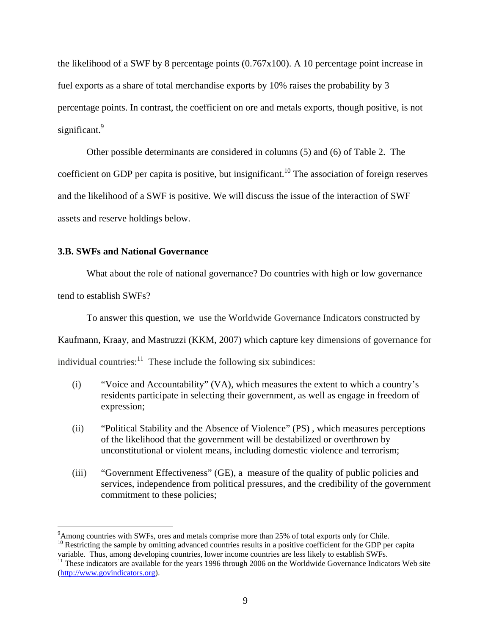the likelihood of a SWF by 8 percentage points (0.767x100). A 10 percentage point increase in fuel exports as a share of total merchandise exports by 10% raises the probability by 3 percentage points. In contrast, the coefficient on ore and metals exports, though positive, is not significant.<sup>9</sup>

Other possible determinants are considered in columns (5) and (6) of Table 2. The coefficient on GDP per capita is positive, but insignificant.<sup>10</sup> The association of foreign reserves and the likelihood of a SWF is positive. We will discuss the issue of the interaction of SWF assets and reserve holdings below.

# **3.B. SWFs and National Governance**

What about the role of national governance? Do countries with high or low governance

tend to establish SWFs?

 $\overline{a}$ 

To answer this question, we use the Worldwide Governance Indicators constructed by

Kaufmann, Kraay, and Mastruzzi (KKM, 2007) which capture key dimensions of governance for

individual countries: $\frac{11}{11}$  These include the following six subindices:

- (i) "Voice and Accountability" (VA), which measures the extent to which a country's residents participate in selecting their government, as well as engage in freedom of expression;
- (ii) "Political Stability and the Absence of Violence" (PS) , which measures perceptions of the likelihood that the government will be destabilized or overthrown by unconstitutional or violent means, including domestic violence and terrorism;
- (iii) "Government Effectiveness" (GE), a measure of the quality of public policies and services, independence from political pressures, and the credibility of the government commitment to these policies;

<sup>10</sup> Restricting the sample by omitting advanced countries results in a positive coefficient for the GDP per capita variable. Thus, among developing countries, lower income countries are less likely to establish SWFs.

<sup>&</sup>lt;sup>9</sup> Among countries with SWFs, ores and metals comprise more than 25% of total exports only for Chile.

<sup>&</sup>lt;sup>11</sup> These indicators are available for the years 1996 through 2006 on the Worldwide Governance Indicators Web site (http://www.govindicators.org).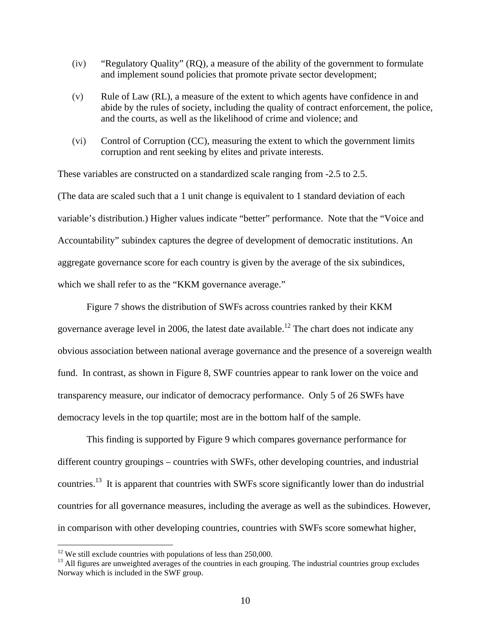- (iv) "Regulatory Quality" (RQ), a measure of the ability of the government to formulate and implement sound policies that promote private sector development;
- (v) Rule of Law (RL), a measure of the extent to which agents have confidence in and abide by the rules of society, including the quality of contract enforcement, the police, and the courts, as well as the likelihood of crime and violence; and
- (vi) Control of Corruption (CC), measuring the extent to which the government limits corruption and rent seeking by elites and private interests.

These variables are constructed on a standardized scale ranging from -2.5 to 2.5. (The data are scaled such that a 1 unit change is equivalent to 1 standard deviation of each variable's distribution.) Higher values indicate "better" performance. Note that the "Voice and Accountability" subindex captures the degree of development of democratic institutions. An aggregate governance score for each country is given by the average of the six subindices, which we shall refer to as the "KKM governance average."

Figure 7 shows the distribution of SWFs across countries ranked by their KKM governance average level in 2006, the latest date available.<sup>12</sup> The chart does not indicate any obvious association between national average governance and the presence of a sovereign wealth fund. In contrast, as shown in Figure 8, SWF countries appear to rank lower on the voice and transparency measure, our indicator of democracy performance. Only 5 of 26 SWFs have democracy levels in the top quartile; most are in the bottom half of the sample.

This finding is supported by Figure 9 which compares governance performance for different country groupings – countries with SWFs, other developing countries, and industrial countries.13 It is apparent that countries with SWFs score significantly lower than do industrial countries for all governance measures, including the average as well as the subindices. However, in comparison with other developing countries, countries with SWFs score somewhat higher,

 $12$  We still exclude countries with populations of less than 250,000.

<sup>&</sup>lt;sup>13</sup> All figures are unweighted averages of the countries in each grouping. The industrial countries group excludes Norway which is included in the SWF group.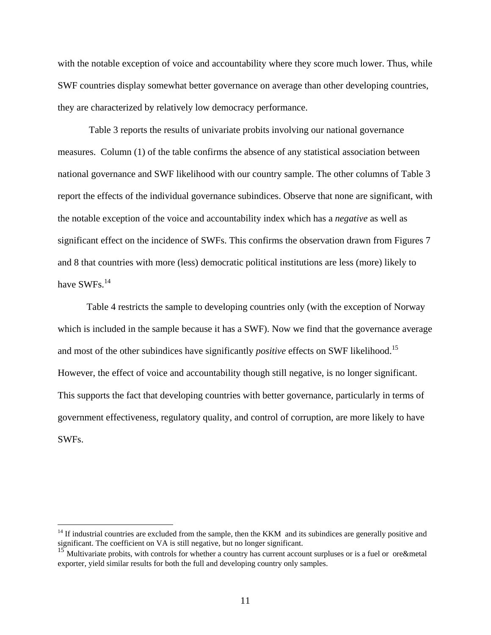with the notable exception of voice and accountability where they score much lower. Thus, while SWF countries display somewhat better governance on average than other developing countries, they are characterized by relatively low democracy performance.

 Table 3 reports the results of univariate probits involving our national governance measures. Column (1) of the table confirms the absence of any statistical association between national governance and SWF likelihood with our country sample. The other columns of Table 3 report the effects of the individual governance subindices. Observe that none are significant, with the notable exception of the voice and accountability index which has a *negative* as well as significant effect on the incidence of SWFs. This confirms the observation drawn from Figures 7 and 8 that countries with more (less) democratic political institutions are less (more) likely to have SWFs.<sup>14</sup>

Table 4 restricts the sample to developing countries only (with the exception of Norway which is included in the sample because it has a SWF). Now we find that the governance average and most of the other subindices have significantly *positive* effects on SWF likelihood.<sup>15</sup> However, the effect of voice and accountability though still negative, is no longer significant. This supports the fact that developing countries with better governance, particularly in terms of government effectiveness, regulatory quality, and control of corruption, are more likely to have SWFs.

 $14$  If industrial countries are excluded from the sample, then the KKM and its subindices are generally positive and significant. The coefficient on VA is still negative, but no longer significant.

<sup>15</sup> Multivariate probits, with controls for whether a country has current account surpluses or is a fuel or ore&metal exporter, yield similar results for both the full and developing country only samples.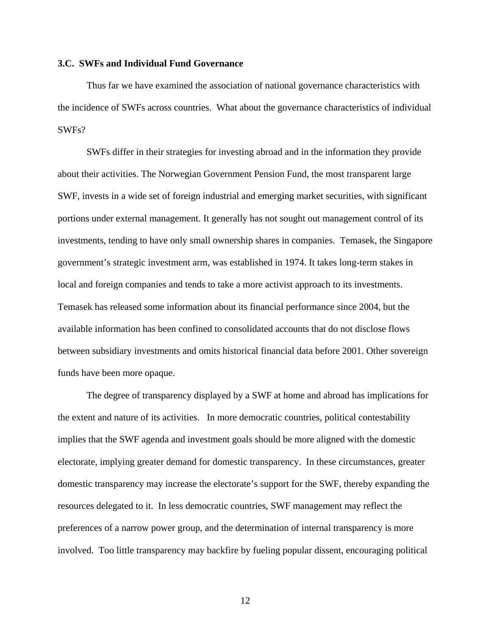# **3.C. SWFs and Individual Fund Governance**

Thus far we have examined the association of national governance characteristics with the incidence of SWFs across countries. What about the governance characteristics of individual SWFs?

SWFs differ in their strategies for investing abroad and in the information they provide about their activities. The Norwegian Government Pension Fund, the most transparent large SWF, invests in a wide set of foreign industrial and emerging market securities, with significant portions under external management. It generally has not sought out management control of its investments, tending to have only small ownership shares in companies. Temasek, the Singapore government's strategic investment arm, was established in 1974. It takes long-term stakes in local and foreign companies and tends to take a more activist approach to its investments. Temasek has released some information about its financial performance since 2004, but the available information has been confined to consolidated accounts that do not disclose flows between subsidiary investments and omits historical financial data before 2001. Other sovereign funds have been more opaque.

The degree of transparency displayed by a SWF at home and abroad has implications for the extent and nature of its activities. In more democratic countries, political contestability implies that the SWF agenda and investment goals should be more aligned with the domestic electorate, implying greater demand for domestic transparency. In these circumstances, greater domestic transparency may increase the electorate's support for the SWF, thereby expanding the resources delegated to it. In less democratic countries, SWF management may reflect the preferences of a narrow power group, and the determination of internal transparency is more involved. Too little transparency may backfire by fueling popular dissent, encouraging political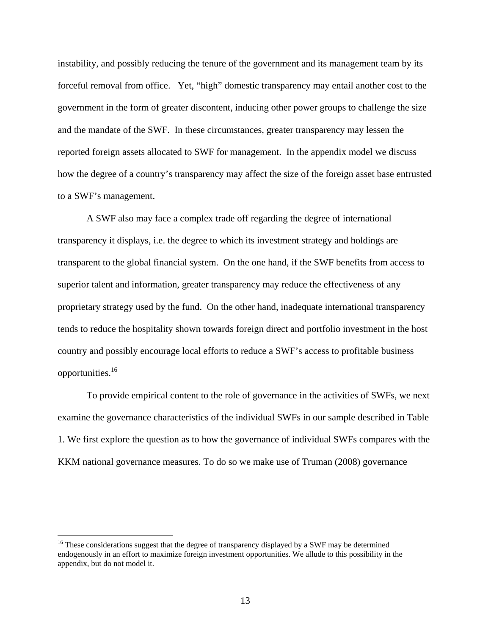instability, and possibly reducing the tenure of the government and its management team by its forceful removal from office. Yet, "high" domestic transparency may entail another cost to the government in the form of greater discontent, inducing other power groups to challenge the size and the mandate of the SWF. In these circumstances, greater transparency may lessen the reported foreign assets allocated to SWF for management. In the appendix model we discuss how the degree of a country's transparency may affect the size of the foreign asset base entrusted to a SWF's management.

A SWF also may face a complex trade off regarding the degree of international transparency it displays, i.e. the degree to which its investment strategy and holdings are transparent to the global financial system. On the one hand, if the SWF benefits from access to superior talent and information, greater transparency may reduce the effectiveness of any proprietary strategy used by the fund. On the other hand, inadequate international transparency tends to reduce the hospitality shown towards foreign direct and portfolio investment in the host country and possibly encourage local efforts to reduce a SWF's access to profitable business opportunities.16

To provide empirical content to the role of governance in the activities of SWFs, we next examine the governance characteristics of the individual SWFs in our sample described in Table 1. We first explore the question as to how the governance of individual SWFs compares with the KKM national governance measures. To do so we make use of Truman (2008) governance

 $16$  These considerations suggest that the degree of transparency displayed by a SWF may be determined endogenously in an effort to maximize foreign investment opportunities. We allude to this possibility in the appendix, but do not model it.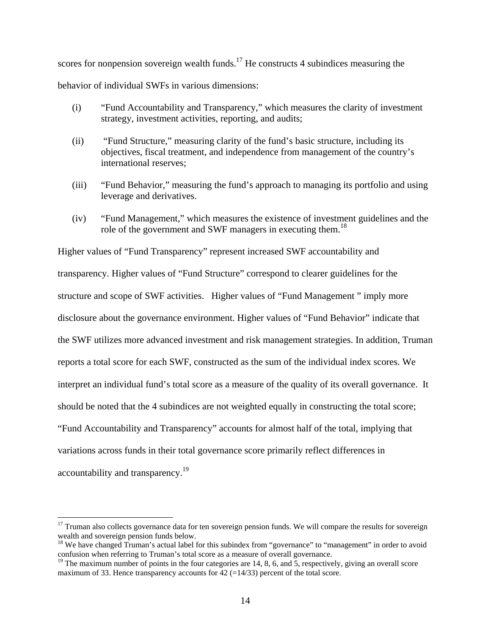scores for nonpension sovereign wealth funds.<sup>17</sup> He constructs 4 subindices measuring the behavior of individual SWFs in various dimensions:

- (i) "Fund Accountability and Transparency," which measures the clarity of investment strategy, investment activities, reporting, and audits;
- (ii) "Fund Structure," measuring clarity of the fund's basic structure, including its objectives, fiscal treatment, and independence from management of the country's international reserves;
- (iii) "Fund Behavior," measuring the fund's approach to managing its portfolio and using leverage and derivatives.
- (iv) "Fund Management," which measures the existence of investment guidelines and the role of the government and SWF managers in executing them.<sup>18</sup>

Higher values of "Fund Transparency" represent increased SWF accountability and transparency. Higher values of "Fund Structure" correspond to clearer guidelines for the structure and scope of SWF activities. Higher values of "Fund Management " imply more disclosure about the governance environment. Higher values of "Fund Behavior" indicate that the SWF utilizes more advanced investment and risk management strategies. In addition, Truman reports a total score for each SWF, constructed as the sum of the individual index scores. We interpret an individual fund's total score as a measure of the quality of its overall governance. It should be noted that the 4 subindices are not weighted equally in constructing the total score; "Fund Accountability and Transparency" accounts for almost half of the total, implying that variations across funds in their total governance score primarily reflect differences in accountability and transparency.<sup>19</sup>

 $17$  Truman also collects governance data for ten sovereign pension funds. We will compare the results for sovereign wealth and sovereign pension funds below.

<sup>&</sup>lt;sup>18</sup> We have changed Truman's actual label for this subindex from "governance" to "management" in order to avoid confusion when referring to Truman's total score as a measure of overall governance.

 $19$  The maximum number of points in the four categories are 14, 8, 6, and 5, respectively, giving an overall score maximum of 33. Hence transparency accounts for  $42$  (=14/33) percent of the total score.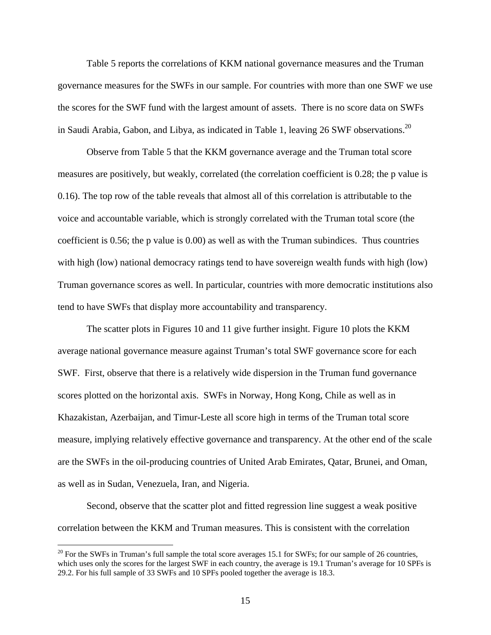Table 5 reports the correlations of KKM national governance measures and the Truman governance measures for the SWFs in our sample. For countries with more than one SWF we use the scores for the SWF fund with the largest amount of assets. There is no score data on SWFs in Saudi Arabia, Gabon, and Libya, as indicated in Table 1, leaving  $26$  SWF observations.<sup>20</sup>

Observe from Table 5 that the KKM governance average and the Truman total score measures are positively, but weakly, correlated (the correlation coefficient is 0.28; the p value is 0.16). The top row of the table reveals that almost all of this correlation is attributable to the voice and accountable variable, which is strongly correlated with the Truman total score (the coefficient is 0.56; the p value is 0.00) as well as with the Truman subindices. Thus countries with high (low) national democracy ratings tend to have sovereign wealth funds with high (low) Truman governance scores as well. In particular, countries with more democratic institutions also tend to have SWFs that display more accountability and transparency.

The scatter plots in Figures 10 and 11 give further insight. Figure 10 plots the KKM average national governance measure against Truman's total SWF governance score for each SWF. First, observe that there is a relatively wide dispersion in the Truman fund governance scores plotted on the horizontal axis. SWFs in Norway, Hong Kong, Chile as well as in Khazakistan, Azerbaijan, and Timur-Leste all score high in terms of the Truman total score measure, implying relatively effective governance and transparency. At the other end of the scale are the SWFs in the oil-producing countries of United Arab Emirates, Qatar, Brunei, and Oman, as well as in Sudan, Venezuela, Iran, and Nigeria.

Second, observe that the scatter plot and fitted regression line suggest a weak positive correlation between the KKM and Truman measures. This is consistent with the correlation

 $20$  For the SWFs in Truman's full sample the total score averages 15.1 for SWFs; for our sample of 26 countries, which uses only the scores for the largest SWF in each country, the average is 19.1 Truman's average for 10 SPFs is 29.2. For his full sample of 33 SWFs and 10 SPFs pooled together the average is 18.3.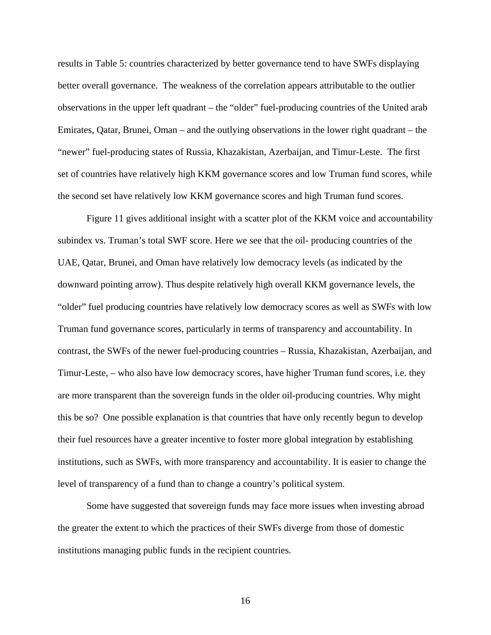results in Table 5: countries characterized by better governance tend to have SWFs displaying better overall governance. The weakness of the correlation appears attributable to the outlier observations in the upper left quadrant – the "older" fuel-producing countries of the United arab Emirates, Qatar, Brunei, Oman – and the outlying observations in the lower right quadrant – the "newer" fuel-producing states of Russia, Khazakistan, Azerbaijan, and Timur-Leste. The first set of countries have relatively high KKM governance scores and low Truman fund scores, while the second set have relatively low KKM governance scores and high Truman fund scores.

Figure 11 gives additional insight with a scatter plot of the KKM voice and accountability subindex vs. Truman's total SWF score. Here we see that the oil- producing countries of the UAE, Qatar, Brunei, and Oman have relatively low democracy levels (as indicated by the downward pointing arrow). Thus despite relatively high overall KKM governance levels, the "older" fuel producing countries have relatively low democracy scores as well as SWFs with low Truman fund governance scores, particularly in terms of transparency and accountability. In contrast, the SWFs of the newer fuel-producing countries – Russia, Khazakistan, Azerbaijan, and Timur-Leste, – who also have low democracy scores, have higher Truman fund scores, i.e. they are more transparent than the sovereign funds in the older oil-producing countries. Why might this be so? One possible explanation is that countries that have only recently begun to develop their fuel resources have a greater incentive to foster more global integration by establishing institutions, such as SWFs, with more transparency and accountability. It is easier to change the level of transparency of a fund than to change a country's political system.

Some have suggested that sovereign funds may face more issues when investing abroad the greater the extent to which the practices of their SWFs diverge from those of domestic institutions managing public funds in the recipient countries.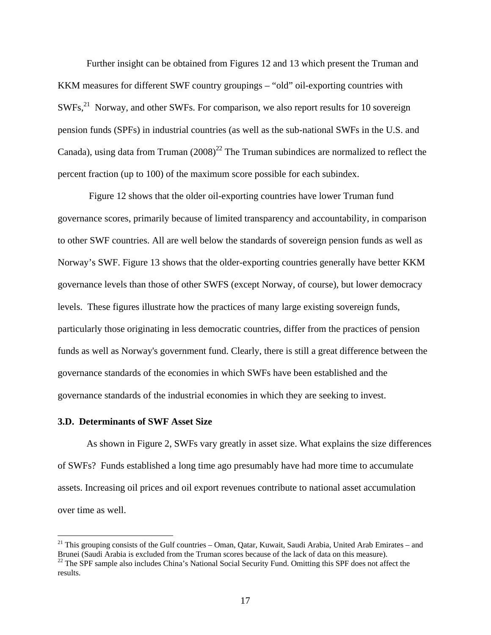Further insight can be obtained from Figures 12 and 13 which present the Truman and KKM measures for different SWF country groupings – "old" oil-exporting countries with SWFs,<sup>21</sup> Norway, and other SWFs. For comparison, we also report results for 10 sovereign pension funds (SPFs) in industrial countries (as well as the sub-national SWFs in the U.S. and Canada), using data from Truman  $(2008)^{22}$  The Truman subindices are normalized to reflect the percent fraction (up to 100) of the maximum score possible for each subindex.

 Figure 12 shows that the older oil-exporting countries have lower Truman fund governance scores, primarily because of limited transparency and accountability, in comparison to other SWF countries. All are well below the standards of sovereign pension funds as well as Norway's SWF. Figure 13 shows that the older-exporting countries generally have better KKM governance levels than those of other SWFS (except Norway, of course), but lower democracy levels. These figures illustrate how the practices of many large existing sovereign funds, particularly those originating in less democratic countries, differ from the practices of pension funds as well as Norway's government fund. Clearly, there is still a great difference between the governance standards of the economies in which SWFs have been established and the governance standards of the industrial economies in which they are seeking to invest.

## **3.D. Determinants of SWF Asset Size**

 $\overline{a}$ 

As shown in Figure 2, SWFs vary greatly in asset size. What explains the size differences of SWFs? Funds established a long time ago presumably have had more time to accumulate assets. Increasing oil prices and oil export revenues contribute to national asset accumulation over time as well.

<sup>&</sup>lt;sup>21</sup> This grouping consists of the Gulf countries – Oman, Qatar, Kuwait, Saudi Arabia, United Arab Emirates – and Brunei (Saudi Arabia is excluded from the Truman scores because of the lack of data on this measure).

<sup>&</sup>lt;sup>22</sup> The SPF sample also includes China's National Social Security Fund. Omitting this SPF does not affect the results.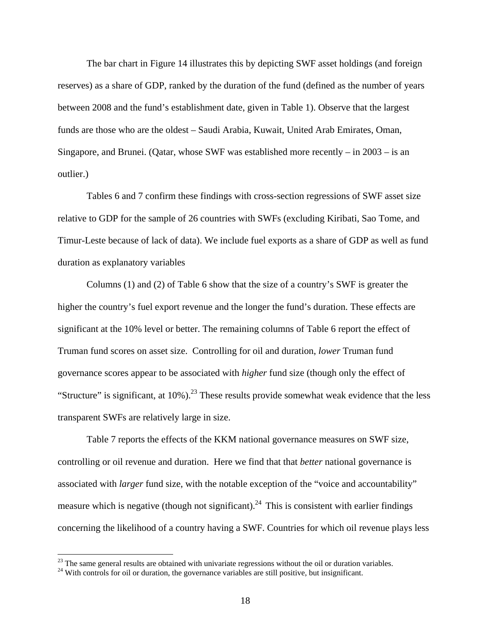The bar chart in Figure 14 illustrates this by depicting SWF asset holdings (and foreign reserves) as a share of GDP, ranked by the duration of the fund (defined as the number of years between 2008 and the fund's establishment date, given in Table 1). Observe that the largest funds are those who are the oldest – Saudi Arabia, Kuwait, United Arab Emirates, Oman, Singapore, and Brunei. (Qatar, whose SWF was established more recently – in 2003 – is an outlier.)

Tables 6 and 7 confirm these findings with cross-section regressions of SWF asset size relative to GDP for the sample of 26 countries with SWFs (excluding Kiribati, Sao Tome, and Timur-Leste because of lack of data). We include fuel exports as a share of GDP as well as fund duration as explanatory variables

Columns (1) and (2) of Table 6 show that the size of a country's SWF is greater the higher the country's fuel export revenue and the longer the fund's duration. These effects are significant at the 10% level or better. The remaining columns of Table 6 report the effect of Truman fund scores on asset size. Controlling for oil and duration, *lower* Truman fund governance scores appear to be associated with *higher* fund size (though only the effect of "Structure" is significant, at  $10\%$ ).<sup>23</sup> These results provide somewhat weak evidence that the less transparent SWFs are relatively large in size.

 Table 7 reports the effects of the KKM national governance measures on SWF size, controlling or oil revenue and duration. Here we find that that *better* national governance is associated with *larger* fund size, with the notable exception of the "voice and accountability" measure which is negative (though not significant).<sup>24</sup> This is consistent with earlier findings concerning the likelihood of a country having a SWF. Countries for which oil revenue plays less

<sup>&</sup>lt;sup>23</sup> The same general results are obtained with univariate regressions without the oil or duration variables.

<sup>&</sup>lt;sup>24</sup> With controls for oil or duration, the governance variables are still positive, but insignificant.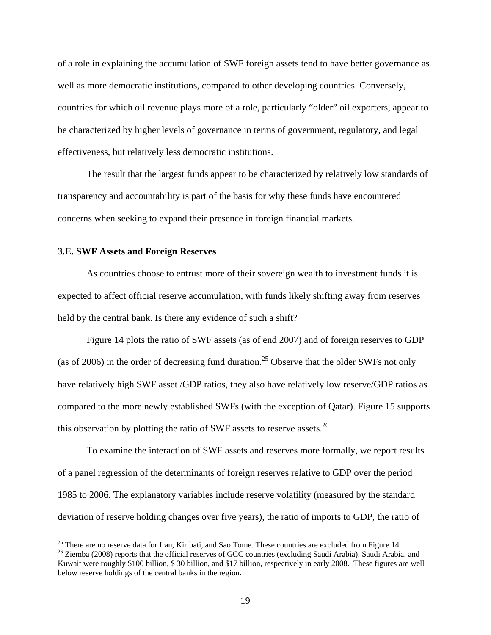of a role in explaining the accumulation of SWF foreign assets tend to have better governance as well as more democratic institutions, compared to other developing countries. Conversely, countries for which oil revenue plays more of a role, particularly "older" oil exporters, appear to be characterized by higher levels of governance in terms of government, regulatory, and legal effectiveness, but relatively less democratic institutions.

 The result that the largest funds appear to be characterized by relatively low standards of transparency and accountability is part of the basis for why these funds have encountered concerns when seeking to expand their presence in foreign financial markets.

## **3.E. SWF Assets and Foreign Reserves**

<u>.</u>

As countries choose to entrust more of their sovereign wealth to investment funds it is expected to affect official reserve accumulation, with funds likely shifting away from reserves held by the central bank. Is there any evidence of such a shift?

Figure 14 plots the ratio of SWF assets (as of end 2007) and of foreign reserves to GDP (as of 2006) in the order of decreasing fund duration.<sup>25</sup> Observe that the older SWFs not only have relatively high SWF asset /GDP ratios, they also have relatively low reserve/GDP ratios as compared to the more newly established SWFs (with the exception of Qatar). Figure 15 supports this observation by plotting the ratio of SWF assets to reserve assets.<sup>26</sup>

To examine the interaction of SWF assets and reserves more formally, we report results of a panel regression of the determinants of foreign reserves relative to GDP over the period 1985 to 2006. The explanatory variables include reserve volatility (measured by the standard deviation of reserve holding changes over five years), the ratio of imports to GDP, the ratio of

 $25$  There are no reserve data for Iran, Kiribati, and Sao Tome. These countries are excluded from Figure 14.

<sup>&</sup>lt;sup>26</sup> Ziemba (2008) reports that the official reserves of GCC countries (excluding Saudi Arabia), Saudi Arabia, and Kuwait were roughly \$100 billion, \$ 30 billion, and \$17 billion, respectively in early 2008. These figures are well below reserve holdings of the central banks in the region.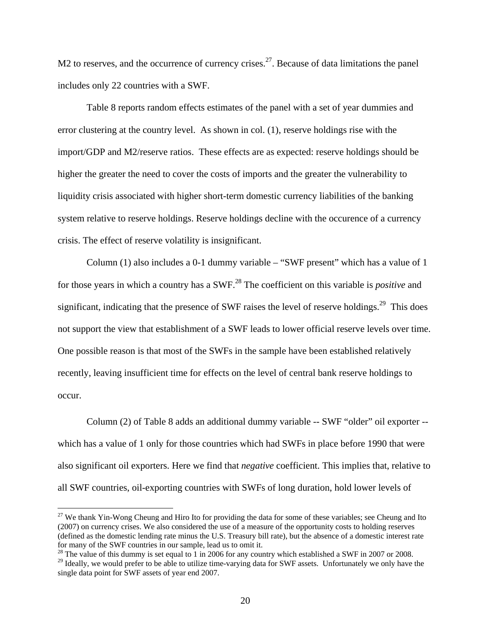M2 to reserves, and the occurrence of currency crises.<sup>27</sup>. Because of data limitations the panel includes only 22 countries with a SWF.

Table 8 reports random effects estimates of the panel with a set of year dummies and error clustering at the country level. As shown in col. (1), reserve holdings rise with the import/GDP and M2/reserve ratios. These effects are as expected: reserve holdings should be higher the greater the need to cover the costs of imports and the greater the vulnerability to liquidity crisis associated with higher short-term domestic currency liabilities of the banking system relative to reserve holdings. Reserve holdings decline with the occurence of a currency crisis. The effect of reserve volatility is insignificant.

Column (1) also includes a 0-1 dummy variable – "SWF present" which has a value of 1 for those years in which a country has a SWF.28 The coefficient on this variable is *positive* and significant, indicating that the presence of SWF raises the level of reserve holdings.<sup>29</sup> This does not support the view that establishment of a SWF leads to lower official reserve levels over time. One possible reason is that most of the SWFs in the sample have been established relatively recently, leaving insufficient time for effects on the level of central bank reserve holdings to occur.

 Column (2) of Table 8 adds an additional dummy variable -- SWF "older" oil exporter - which has a value of 1 only for those countries which had SWFs in place before 1990 that were also significant oil exporters. Here we find that *negative* coefficient. This implies that, relative to all SWF countries, oil-exporting countries with SWFs of long duration, hold lower levels of

 $27$  We thank Yin-Wong Cheung and Hiro Ito for providing the data for some of these variables; see Cheung and Ito (2007) on currency crises. We also considered the use of a measure of the opportunity costs to holding reserves (defined as the domestic lending rate minus the U.S. Treasury bill rate), but the absence of a domestic interest rate for many of the SWF countries in our sample, lead us to omit it.

<sup>&</sup>lt;sup>28</sup> The value of this dummy is set equal to 1 in 2006 for any country which established a SWF in 2007 or 2008.

 $29$  Ideally, we would prefer to be able to utilize time-varying data for SWF assets. Unfortunately we only have the single data point for SWF assets of year end 2007.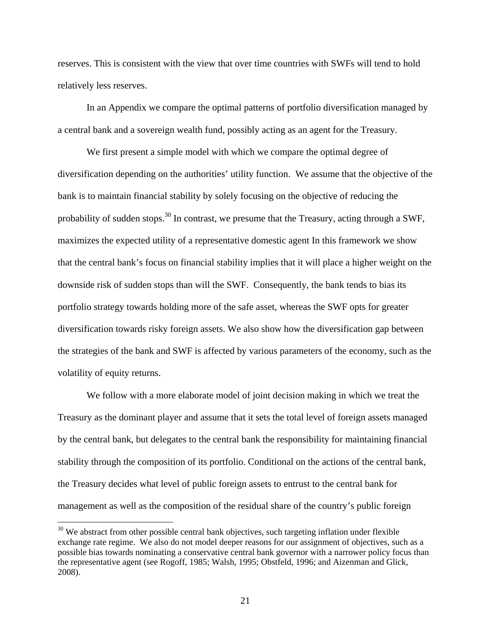reserves. This is consistent with the view that over time countries with SWFs will tend to hold relatively less reserves.

In an Appendix we compare the optimal patterns of portfolio diversification managed by a central bank and a sovereign wealth fund, possibly acting as an agent for the Treasury.

We first present a simple model with which we compare the optimal degree of diversification depending on the authorities' utility function. We assume that the objective of the bank is to maintain financial stability by solely focusing on the objective of reducing the probability of sudden stops.<sup>30</sup> In contrast, we presume that the Treasury, acting through a SWF, maximizes the expected utility of a representative domestic agent In this framework we show that the central bank's focus on financial stability implies that it will place a higher weight on the downside risk of sudden stops than will the SWF. Consequently, the bank tends to bias its portfolio strategy towards holding more of the safe asset, whereas the SWF opts for greater diversification towards risky foreign assets. We also show how the diversification gap between the strategies of the bank and SWF is affected by various parameters of the economy, such as the volatility of equity returns.

We follow with a more elaborate model of joint decision making in which we treat the Treasury as the dominant player and assume that it sets the total level of foreign assets managed by the central bank, but delegates to the central bank the responsibility for maintaining financial stability through the composition of its portfolio. Conditional on the actions of the central bank, the Treasury decides what level of public foreign assets to entrust to the central bank for management as well as the composition of the residual share of the country's public foreign

<sup>&</sup>lt;sup>30</sup> We abstract from other possible central bank objectives, such targeting inflation under flexible exchange rate regime. We also do not model deeper reasons for our assignment of objectives, such as a possible bias towards nominating a conservative central bank governor with a narrower policy focus than the representative agent (see Rogoff, 1985; Walsh, 1995; Obstfeld, 1996; and Aizenman and Glick, 2008).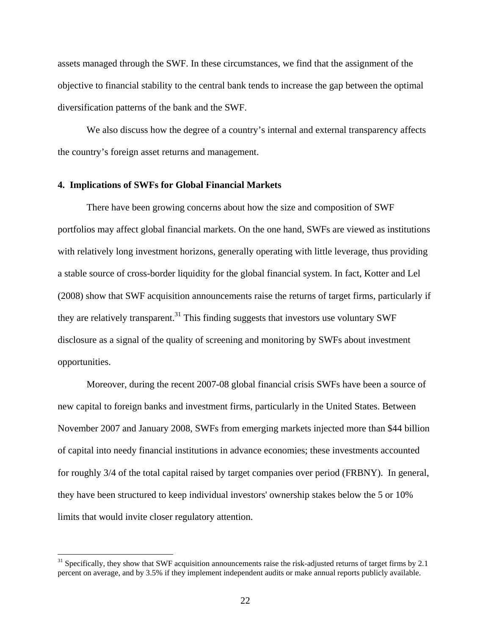assets managed through the SWF. In these circumstances, we find that the assignment of the objective to financial stability to the central bank tends to increase the gap between the optimal diversification patterns of the bank and the SWF.

We also discuss how the degree of a country's internal and external transparency affects the country's foreign asset returns and management.

# **4. Implications of SWFs for Global Financial Markets**

1

There have been growing concerns about how the size and composition of SWF portfolios may affect global financial markets. On the one hand, SWFs are viewed as institutions with relatively long investment horizons, generally operating with little leverage, thus providing a stable source of cross-border liquidity for the global financial system. In fact, Kotter and Lel (2008) show that SWF acquisition announcements raise the returns of target firms, particularly if they are relatively transparent.<sup>31</sup> This finding suggests that investors use voluntary SWF disclosure as a signal of the quality of screening and monitoring by SWFs about investment opportunities.

Moreover, during the recent 2007-08 global financial crisis SWFs have been a source of new capital to foreign banks and investment firms, particularly in the United States. Between November 2007 and January 2008, SWFs from emerging markets injected more than \$44 billion of capital into needy financial institutions in advance economies; these investments accounted for roughly 3/4 of the total capital raised by target companies over period (FRBNY). In general, they have been structured to keep individual investors' ownership stakes below the 5 or 10% limits that would invite closer regulatory attention.

 $31$  Specifically, they show that SWF acquisition announcements raise the risk-adjusted returns of target firms by 2.1 percent on average, and by 3.5% if they implement independent audits or make annual reports publicly available.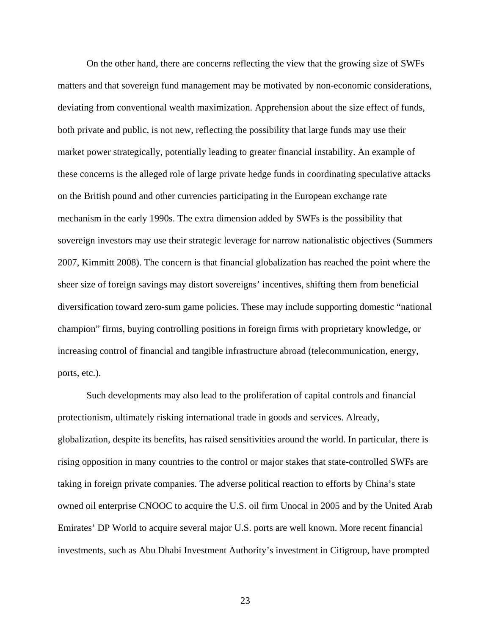On the other hand, there are concerns reflecting the view that the growing size of SWFs matters and that sovereign fund management may be motivated by non-economic considerations, deviating from conventional wealth maximization. Apprehension about the size effect of funds, both private and public, is not new, reflecting the possibility that large funds may use their market power strategically, potentially leading to greater financial instability. An example of these concerns is the alleged role of large private hedge funds in coordinating speculative attacks on the British pound and other currencies participating in the European exchange rate mechanism in the early 1990s. The extra dimension added by SWFs is the possibility that sovereign investors may use their strategic leverage for narrow nationalistic objectives (Summers 2007, Kimmitt 2008). The concern is that financial globalization has reached the point where the sheer size of foreign savings may distort sovereigns' incentives, shifting them from beneficial diversification toward zero-sum game policies. These may include supporting domestic "national champion" firms, buying controlling positions in foreign firms with proprietary knowledge, or increasing control of financial and tangible infrastructure abroad (telecommunication, energy, ports, etc.).

Such developments may also lead to the proliferation of capital controls and financial protectionism, ultimately risking international trade in goods and services. Already, globalization, despite its benefits, has raised sensitivities around the world. In particular, there is rising opposition in many countries to the control or major stakes that state-controlled SWFs are taking in foreign private companies. The adverse political reaction to efforts by China's state owned oil enterprise CNOOC to acquire the U.S. oil firm Unocal in 2005 and by the United Arab Emirates' DP World to acquire several major U.S. ports are well known. More recent financial investments, such as Abu Dhabi Investment Authority's investment in Citigroup, have prompted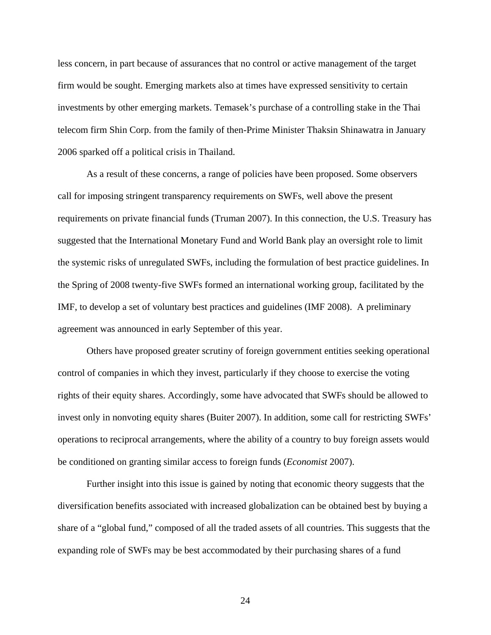less concern, in part because of assurances that no control or active management of the target firm would be sought. Emerging markets also at times have expressed sensitivity to certain investments by other emerging markets. Temasek's purchase of a controlling stake in the Thai telecom firm Shin Corp. from the family of then-Prime Minister Thaksin Shinawatra in January 2006 sparked off a political crisis in Thailand.

As a result of these concerns, a range of policies have been proposed. Some observers call for imposing stringent transparency requirements on SWFs, well above the present requirements on private financial funds (Truman 2007). In this connection, the U.S. Treasury has suggested that the International Monetary Fund and World Bank play an oversight role to limit the systemic risks of unregulated SWFs, including the formulation of best practice guidelines. In the Spring of 2008 twenty-five SWFs formed an international working group, facilitated by the IMF, to develop a set of voluntary best practices and guidelines (IMF 2008). A preliminary agreement was announced in early September of this year.

Others have proposed greater scrutiny of foreign government entities seeking operational control of companies in which they invest, particularly if they choose to exercise the voting rights of their equity shares. Accordingly, some have advocated that SWFs should be allowed to invest only in nonvoting equity shares (Buiter 2007). In addition, some call for restricting SWFs' operations to reciprocal arrangements, where the ability of a country to buy foreign assets would be conditioned on granting similar access to foreign funds (*Economist* 2007).

Further insight into this issue is gained by noting that economic theory suggests that the diversification benefits associated with increased globalization can be obtained best by buying a share of a "global fund," composed of all the traded assets of all countries. This suggests that the expanding role of SWFs may be best accommodated by their purchasing shares of a fund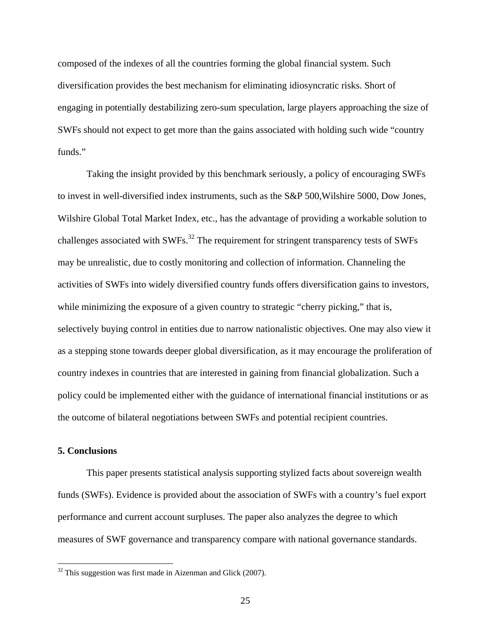composed of the indexes of all the countries forming the global financial system. Such diversification provides the best mechanism for eliminating idiosyncratic risks. Short of engaging in potentially destabilizing zero-sum speculation, large players approaching the size of SWFs should not expect to get more than the gains associated with holding such wide "country funds."

Taking the insight provided by this benchmark seriously, a policy of encouraging SWFs to invest in well-diversified index instruments, such as the S&P 500,Wilshire 5000, Dow Jones, Wilshire Global Total Market Index, etc., has the advantage of providing a workable solution to challenges associated with SWFs.<sup>32</sup> The requirement for stringent transparency tests of SWFs may be unrealistic, due to costly monitoring and collection of information. Channeling the activities of SWFs into widely diversified country funds offers diversification gains to investors, while minimizing the exposure of a given country to strategic "cherry picking," that is, selectively buying control in entities due to narrow nationalistic objectives. One may also view it as a stepping stone towards deeper global diversification, as it may encourage the proliferation of country indexes in countries that are interested in gaining from financial globalization. Such a policy could be implemented either with the guidance of international financial institutions or as the outcome of bilateral negotiations between SWFs and potential recipient countries.

# **5. Conclusions**

 $\overline{a}$ 

This paper presents statistical analysis supporting stylized facts about sovereign wealth funds (SWFs). Evidence is provided about the association of SWFs with a country's fuel export performance and current account surpluses. The paper also analyzes the degree to which measures of SWF governance and transparency compare with national governance standards.

 $32$  This suggestion was first made in Aizenman and Glick (2007).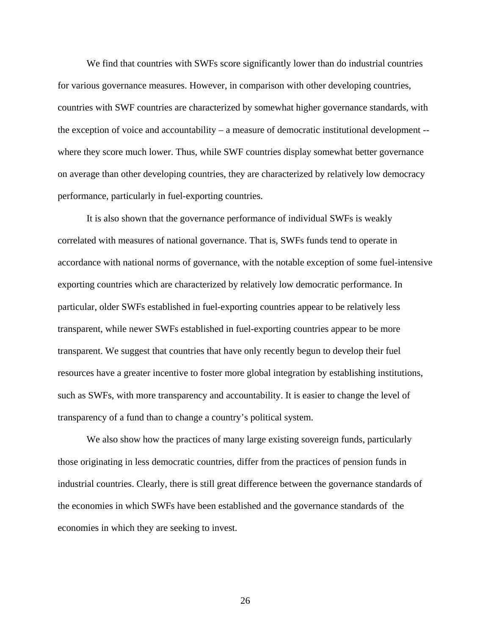We find that countries with SWFs score significantly lower than do industrial countries for various governance measures. However, in comparison with other developing countries, countries with SWF countries are characterized by somewhat higher governance standards, with the exception of voice and accountability – a measure of democratic institutional development - where they score much lower. Thus, while SWF countries display somewhat better governance on average than other developing countries, they are characterized by relatively low democracy performance, particularly in fuel-exporting countries.

It is also shown that the governance performance of individual SWFs is weakly correlated with measures of national governance. That is, SWFs funds tend to operate in accordance with national norms of governance, with the notable exception of some fuel-intensive exporting countries which are characterized by relatively low democratic performance. In particular, older SWFs established in fuel-exporting countries appear to be relatively less transparent, while newer SWFs established in fuel-exporting countries appear to be more transparent. We suggest that countries that have only recently begun to develop their fuel resources have a greater incentive to foster more global integration by establishing institutions, such as SWFs, with more transparency and accountability. It is easier to change the level of transparency of a fund than to change a country's political system.

We also show how the practices of many large existing sovereign funds, particularly those originating in less democratic countries, differ from the practices of pension funds in industrial countries. Clearly, there is still great difference between the governance standards of the economies in which SWFs have been established and the governance standards of the economies in which they are seeking to invest.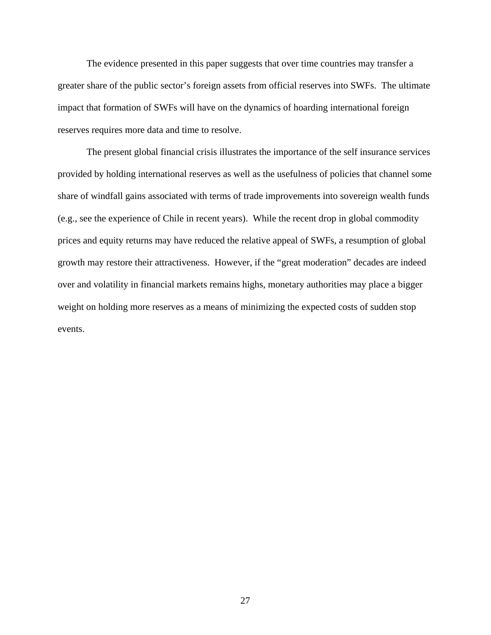The evidence presented in this paper suggests that over time countries may transfer a greater share of the public sector's foreign assets from official reserves into SWFs. The ultimate impact that formation of SWFs will have on the dynamics of hoarding international foreign reserves requires more data and time to resolve.

The present global financial crisis illustrates the importance of the self insurance services provided by holding international reserves as well as the usefulness of policies that channel some share of windfall gains associated with terms of trade improvements into sovereign wealth funds (e.g., see the experience of Chile in recent years). While the recent drop in global commodity prices and equity returns may have reduced the relative appeal of SWFs, a resumption of global growth may restore their attractiveness. However, if the "great moderation" decades are indeed over and volatility in financial markets remains highs, monetary authorities may place a bigger weight on holding more reserves as a means of minimizing the expected costs of sudden stop events.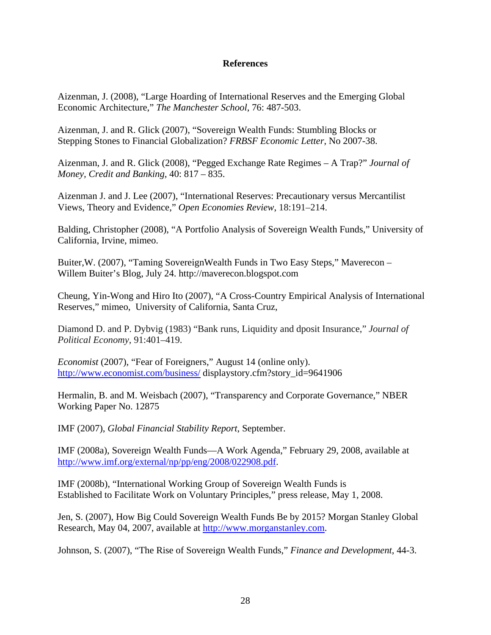# **References**

Aizenman, J. (2008), "Large Hoarding of International Reserves and the Emerging Global Economic Architecture," *The Manchester School*, 76: 487-503.

Aizenman, J. and R. Glick (2007), "Sovereign Wealth Funds: Stumbling Blocks or Stepping Stones to Financial Globalization? *FRBSF Economic Letter*, No 2007-38.

Aizenman, J. and R. Glick (2008), "Pegged Exchange Rate Regimes – A Trap?" *Journal of Money, Credit and Banking*, 40: 817 – 835.

Aizenman J. and J. Lee (2007), "International Reserves: Precautionary versus Mercantilist Views, Theory and Evidence," *Open Economies Review*, 18:191–214.

Balding, Christopher (2008), "A Portfolio Analysis of Sovereign Wealth Funds," University of California, Irvine, mimeo.

Buiter,W. (2007), "Taming SovereignWealth Funds in Two Easy Steps," Maverecon – Willem Buiter's Blog, July 24. http://maverecon.blogspot.com

Cheung, Yin-Wong and Hiro Ito (2007), "A Cross-Country Empirical Analysis of International Reserves," mimeo, University of California, Santa Cruz,

Diamond D. and P. Dybvig (1983) "Bank runs, Liquidity and dposit Insurance," *Journal of Political Economy*, 91:401–419.

*Economist* (2007), "Fear of Foreigners," August 14 (online only). http://www.economist.com/business/ displaystory.cfm?story\_id=9641906

Hermalin, B. and M. Weisbach (2007), "Transparency and Corporate Governance," NBER Working Paper No. 12875

IMF (2007), *Global Financial Stability Report*, September.

IMF (2008a), Sovereign Wealth Funds—A Work Agenda," February 29, 2008, available at http://www.imf.org/external/np/pp/eng/2008/022908.pdf.

IMF (2008b), "International Working Group of Sovereign Wealth Funds is Established to Facilitate Work on Voluntary Principles," press release, May 1, 2008.

Jen, S. (2007), How Big Could Sovereign Wealth Funds Be by 2015? Morgan Stanley Global Research, May 04, 2007, available at http://www.morganstanley.com.

Johnson, S. (2007), "The Rise of Sovereign Wealth Funds," *Finance and Development*, 44-3.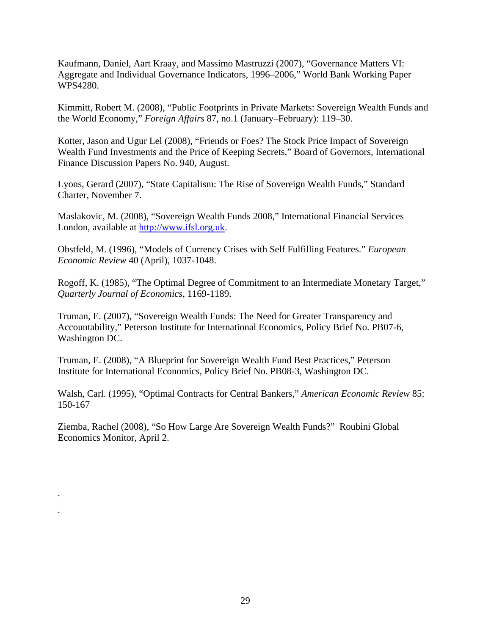Kaufmann, Daniel, Aart Kraay, and Massimo Mastruzzi (2007), "Governance Matters VI: Aggregate and Individual Governance Indicators, 1996–2006," World Bank Working Paper WPS4280.

Kimmitt, Robert M. (2008), "Public Footprints in Private Markets: Sovereign Wealth Funds and the World Economy," *Foreign Affairs* 87, no.1 (January–February): 119–30.

Kotter, Jason and Ugur Lel (2008), "Friends or Foes? The Stock Price Impact of Sovereign Wealth Fund Investments and the Price of Keeping Secrets," Board of Governors, International Finance Discussion Papers No. 940, August.

Lyons, Gerard (2007), "State Capitalism: The Rise of Sovereign Wealth Funds," Standard Charter, November 7.

Maslakovic, M. (2008), "Sovereign Wealth Funds 2008," International Financial Services London, available at http://www.ifsl.org.uk.

Obstfeld, M. (1996), "Models of Currency Crises with Self Fulfilling Features." *European Economic Review* 40 (April), 1037-1048.

Rogoff, K. (1985), "The Optimal Degree of Commitment to an Intermediate Monetary Target," *Quarterly Journal of Economics*, 1169-1189.

Truman, E. (2007), "Sovereign Wealth Funds: The Need for Greater Transparency and Accountability," Peterson Institute for International Economics, Policy Brief No. PB07-6, Washington DC.

Truman, E. (2008), "A Blueprint for Sovereign Wealth Fund Best Practices," Peterson Institute for International Economics, Policy Brief No. PB08-3, Washington DC.

Walsh, Carl. (1995), "Optimal Contracts for Central Bankers," *American Economic Review* 85: 150-167

Ziemba, Rachel (2008), "So How Large Are Sovereign Wealth Funds?" Roubini Global Economics Monitor, April 2.

.

.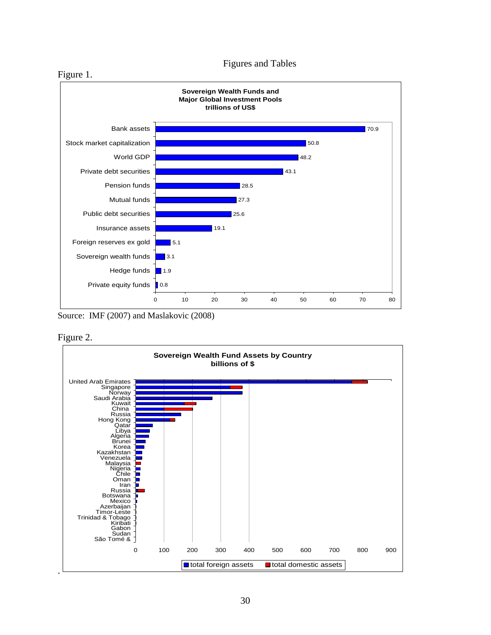

Source: IMF (2007) and Maslakovic (2008)



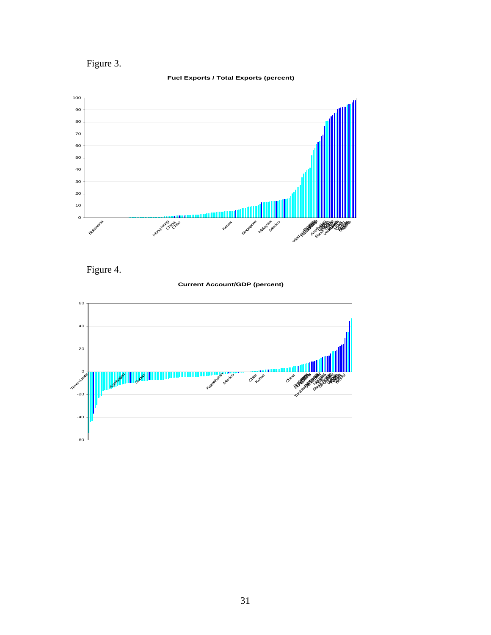Figure 3.



#### **Fuel Exports / Total Exports (percent)**

Figure 4.

**Current Account/GDP (percent)** 

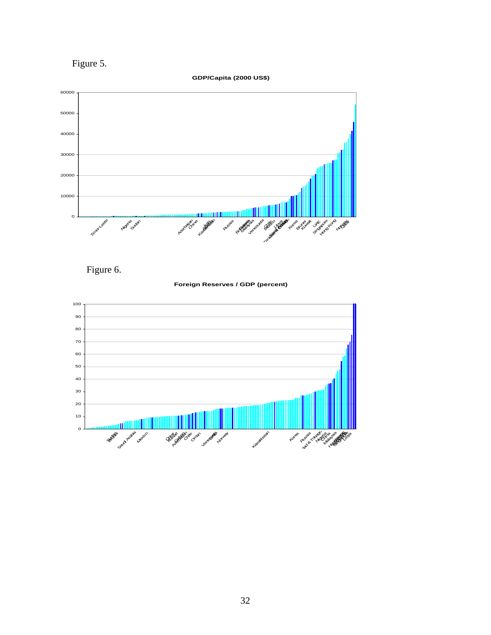Figure 5.

**GDP/Capita (2000 US\$)** 





**Foreign Reserves / GDP (percent)**

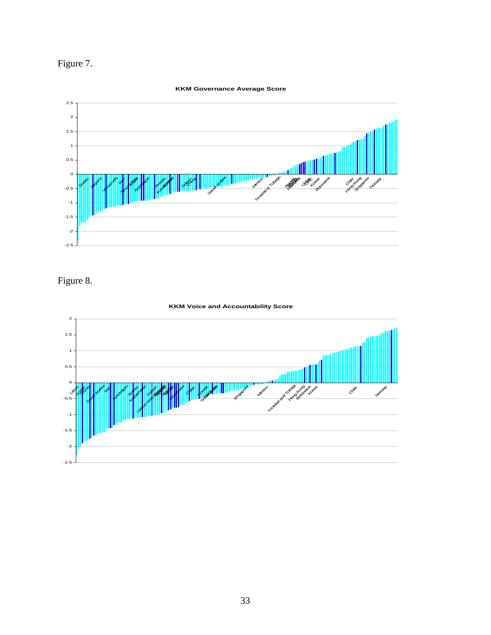

#### **KKM Governance Average Score**



# Figure 8.



#### **KKM Voice and Accountability Score**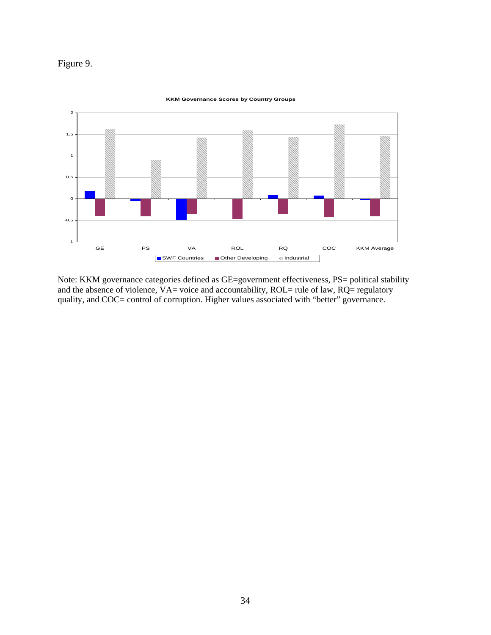# Figure 9.



#### **KKM Governance Scores by Country Groups**

Note: KKM governance categories defined as GE=government effectiveness, PS= political stability and the absence of violence,  $VA =$  voice and accountability,  $ROL =$  rule of law,  $RQ =$  regulatory quality, and COC= control of corruption. Higher values associated with "better" governance.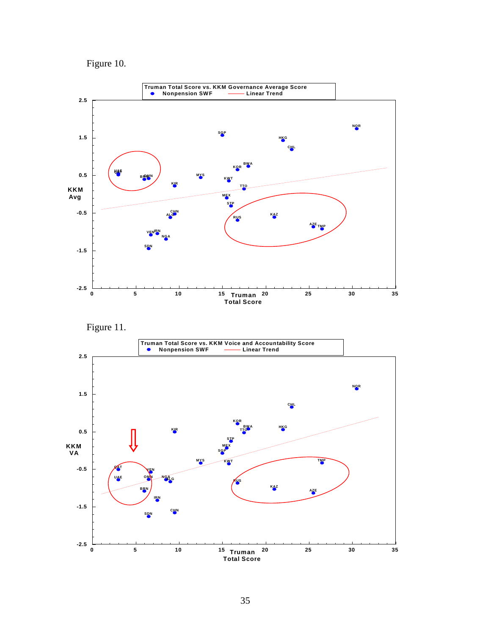





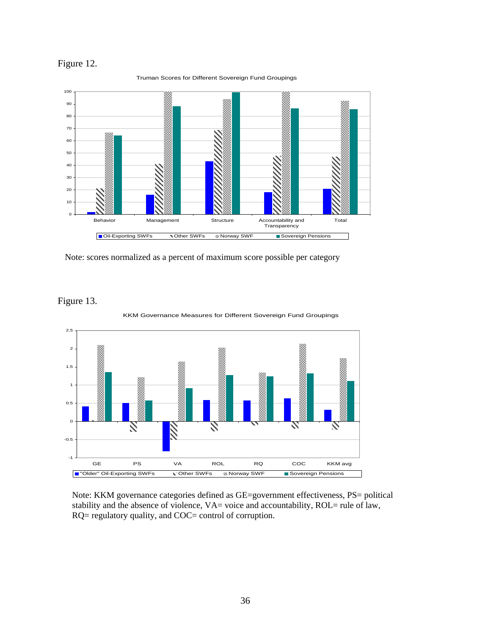



Truman Scores for Different Sovereign Fund Groupings

Note: scores normalized as a percent of maximum score possible per category





Note: KKM governance categories defined as GE=government effectiveness, PS= political stability and the absence of violence, VA= voice and accountability, ROL= rule of law, RQ= regulatory quality, and COC= control of corruption.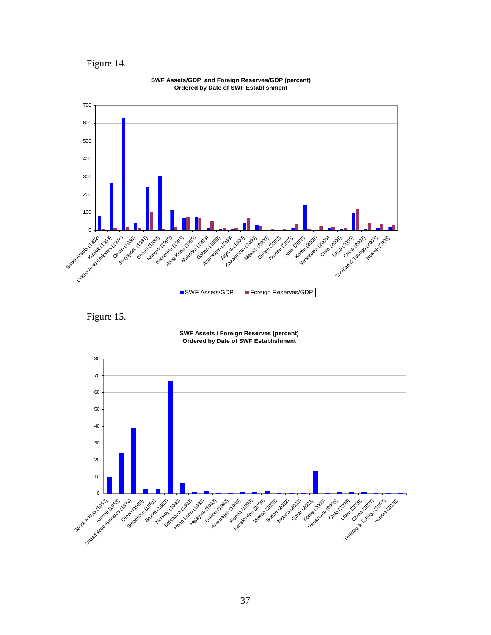









Figure 15.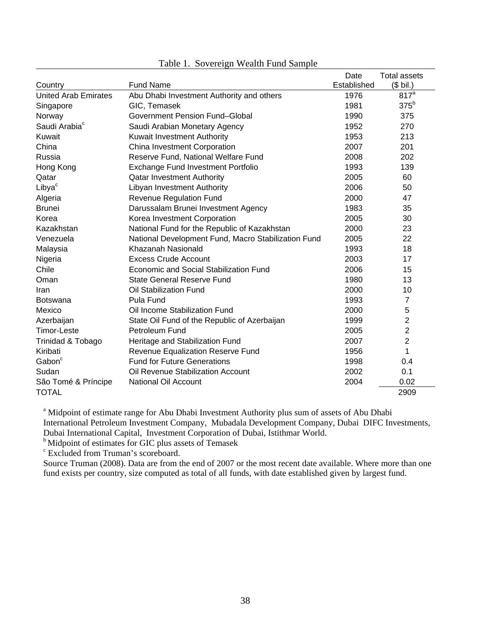|                             |                                                     | Date        | <b>Total assets</b> |
|-----------------------------|-----------------------------------------------------|-------------|---------------------|
| Country                     | <b>Fund Name</b>                                    | Established | $($$ bil.)          |
| <b>United Arab Emirates</b> | Abu Dhabi Investment Authority and others           | 1976        | 817 <sup>a</sup>    |
| Singapore                   | GIC, Temasek                                        | 1981        | 375 <sup>b</sup>    |
| Norway                      | Government Pension Fund-Global                      | 1990        | 375                 |
| Saudi Arabia <sup>c</sup>   | Saudi Arabian Monetary Agency                       | 1952        | 270                 |
| Kuwait                      | Kuwait Investment Authority                         | 1953        | 213                 |
| China                       | China Investment Corporation                        | 2007        | 201                 |
| Russia                      | Reserve Fund, National Welfare Fund                 | 2008        | 202                 |
| Hong Kong                   | Exchange Fund Investment Portfolio                  | 1993        | 139                 |
| Qatar                       | <b>Qatar Investment Authority</b>                   | 2005        | 60                  |
| Libya <sup>c</sup>          | Libyan Investment Authority                         | 2006        | 50                  |
| Algeria                     | <b>Revenue Regulation Fund</b>                      | 2000        | 47                  |
| <b>Brunei</b>               | Darussalam Brunei Investment Agency                 | 1983        | 35                  |
| Korea                       | Korea Investment Corporation                        | 2005        | 30                  |
| Kazakhstan                  | National Fund for the Republic of Kazakhstan        | 2000        | 23                  |
| Venezuela                   | National Development Fund, Macro Stabilization Fund | 2005        | 22                  |
| Malaysia                    | Khazanah Nasionald                                  | 1993        | 18                  |
| Nigeria                     | Excess Crude Account                                | 2003        | 17                  |
| Chile                       | Economic and Social Stabilization Fund              | 2006        | 15                  |
| Oman                        | State General Reserve Fund                          | 1980        | 13                  |
| Iran                        | Oil Stabilization Fund                              | 2000        | 10                  |
| Botswana                    | <b>Pula Fund</b>                                    | 1993        | $\overline{7}$      |
| Mexico                      | Oil Income Stabilization Fund                       | 2000        | 5                   |
| Azerbaijan                  | State Oil Fund of the Republic of Azerbaijan        | 1999        | $\overline{c}$      |
| <b>Timor-Leste</b>          | Petroleum Fund                                      | 2005        | $\overline{c}$      |
| Trinidad & Tobago           | Heritage and Stabilization Fund                     | 2007        | $\overline{2}$      |
| Kiribati                    | Revenue Equalization Reserve Fund                   | 1956        | 1                   |
| Gabon <sup>c</sup>          | <b>Fund for Future Generations</b>                  | 1998        | 0.4                 |
| Sudan                       | Oil Revenue Stabilization Account                   | 2002        | 0.1                 |
| São Tomé & Príncipe         | <b>National Oil Account</b>                         | 2004        | 0.02                |
| <b>TOTAL</b>                |                                                     |             | 2909                |

# Table 1. Sovereign Wealth Fund Sample

<sup>a</sup> Midpoint of estimate range for Abu Dhabi Investment Authority plus sum of assets of Abu Dhabi International Petroleum Investment Company, Mubadala Development Company, Dubai DIFC Investments, Dubai International Capital, Investment Corporation of Dubai, Istithmar World.

<sup>b</sup> Midpoint of estimates for GIC plus assets of Temasek

c Excluded from Truman's scoreboard.

Source Truman (2008). Data are from the end of 2007 or the most recent date available. Where more than one fund exists per country, size computed as total of all funds, with date established given by largest fund.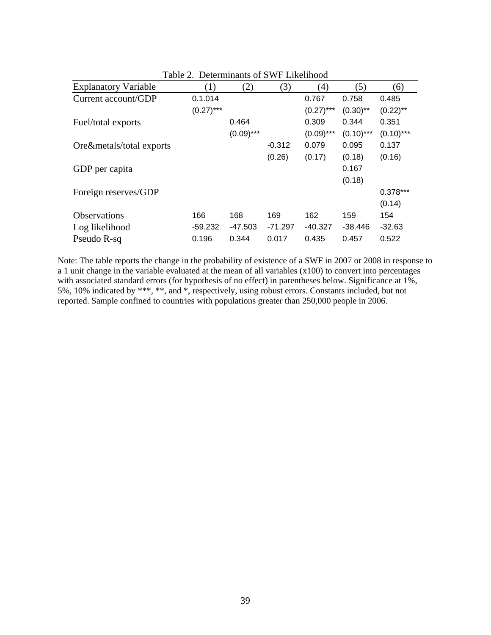| $1$ and $2$ .               |              | Determination of SWI LINEMITOUR |           |              |              |              |
|-----------------------------|--------------|---------------------------------|-----------|--------------|--------------|--------------|
| <b>Explanatory Variable</b> | (1)          | (2)                             | (3)       | (4)          | (5)          | (6)          |
| Current account/GDP         | 0.1.014      |                                 |           | 0.767        | 0.758        | 0.485        |
|                             | $(0.27)$ *** |                                 |           | $(0.27)$ *** | $(0.30)$ **  | $(0.22)$ **  |
| Fuel/total exports          |              | 0.464                           |           | 0.309        | 0.344        | 0.351        |
|                             |              | $(0.09)$ ***                    |           | $(0.09)$ *** | $(0.10)$ *** | $(0.10)$ *** |
| Ore&metals/total exports    |              |                                 | $-0.312$  | 0.079        | 0.095        | 0.137        |
|                             |              |                                 | (0.26)    | (0.17)       | (0.18)       | (0.16)       |
| GDP per capita              |              |                                 |           |              | 0.167        |              |
|                             |              |                                 |           |              | (0.18)       |              |
| Foreign reserves/GDP        |              |                                 |           |              |              | $0.378***$   |
|                             |              |                                 |           |              |              | (0.14)       |
| <b>Observations</b>         | 166          | 168                             | 169       | 162          | 159          | 154          |
| Log likelihood              | $-59.232$    | $-47.503$                       | $-71.297$ | $-40.327$    | $-38.446$    | $-32.63$     |
| Pseudo R-sq                 | 0.196        | 0.344                           | 0.017     | 0.435        | 0.457        | 0.522        |

Table 2. Determinants of SWF Likelihood

Note: The table reports the change in the probability of existence of a SWF in 2007 or 2008 in response to a 1 unit change in the variable evaluated at the mean of all variables (x100) to convert into percentages with associated standard errors (for hypothesis of no effect) in parentheses below. Significance at 1%, 5%, 10% indicated by \*\*\*, \*\*, and \*, respectively, using robust errors. Constants included, but not reported. Sample confined to countries with populations greater than 250,000 people in 2006.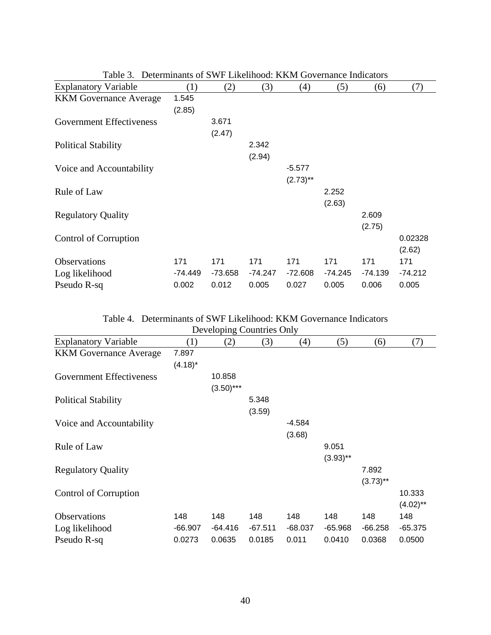| t aviv J.                       | Determination of 9 MT Enventional existing covernance indicators |           |           |             |           |           |           |
|---------------------------------|------------------------------------------------------------------|-----------|-----------|-------------|-----------|-----------|-----------|
| <b>Explanatory Variable</b>     | (1)                                                              | (2)       | (3)       | (4)         | (5)       | (6)       | (7)       |
| <b>KKM</b> Governance Average   | 1.545                                                            |           |           |             |           |           |           |
|                                 | (2.85)                                                           |           |           |             |           |           |           |
| <b>Government Effectiveness</b> |                                                                  | 3.671     |           |             |           |           |           |
|                                 |                                                                  | (2.47)    |           |             |           |           |           |
| <b>Political Stability</b>      |                                                                  |           | 2.342     |             |           |           |           |
|                                 |                                                                  |           | (2.94)    |             |           |           |           |
| Voice and Accountability        |                                                                  |           |           | $-5.577$    |           |           |           |
|                                 |                                                                  |           |           | $(2.73)$ ** |           |           |           |
| Rule of Law                     |                                                                  |           |           |             | 2.252     |           |           |
|                                 |                                                                  |           |           |             | (2.63)    |           |           |
| <b>Regulatory Quality</b>       |                                                                  |           |           |             |           | 2.609     |           |
|                                 |                                                                  |           |           |             |           | (2.75)    |           |
| Control of Corruption           |                                                                  |           |           |             |           |           | 0.02328   |
|                                 |                                                                  |           |           |             |           |           | (2.62)    |
| Observations                    | 171                                                              | 171       | 171       | 171         | 171       | 171       | 171       |
| Log likelihood                  | -74.449                                                          | $-73.658$ | $-74.247$ | $-72.608$   | $-74.245$ | $-74.139$ | $-74.212$ |
| Pseudo R-sq                     | 0.002                                                            | 0.012     | 0.005     | 0.027       | 0.005     | 0.006     | 0.005     |

| Table 3. Determinants of SWF Likelihood: KKM Governance Indicators |  |
|--------------------------------------------------------------------|--|
|--------------------------------------------------------------------|--|

Table 4. Determinants of SWF Likelihood: KKM Governance Indicators

| Developing Countries Only       |            |              |           |           |             |             |             |
|---------------------------------|------------|--------------|-----------|-----------|-------------|-------------|-------------|
| <b>Explanatory Variable</b>     | (1)        | (2)          | (3)       | (4)       | (5)         | (6)         | (7)         |
| <b>KKM</b> Governance Average   | 7.897      |              |           |           |             |             |             |
|                                 | $(4.18)^*$ |              |           |           |             |             |             |
| <b>Government Effectiveness</b> |            | 10.858       |           |           |             |             |             |
|                                 |            | $(3.50)$ *** |           |           |             |             |             |
| <b>Political Stability</b>      |            |              | 5.348     |           |             |             |             |
|                                 |            |              | (3.59)    |           |             |             |             |
| Voice and Accountability        |            |              |           | $-4.584$  |             |             |             |
|                                 |            |              |           | (3.68)    |             |             |             |
| Rule of Law                     |            |              |           |           | 9.051       |             |             |
|                                 |            |              |           |           | $(3.93)$ ** |             |             |
| <b>Regulatory Quality</b>       |            |              |           |           |             | 7.892       |             |
|                                 |            |              |           |           |             | $(3.73)$ ** |             |
| Control of Corruption           |            |              |           |           |             |             | 10.333      |
|                                 |            |              |           |           |             |             | $(4.02)$ ** |
| Observations                    | 148        | 148          | 148       | 148       | 148         | 148         | 148         |
| Log likelihood                  | $-66.907$  | $-64.416$    | $-67.511$ | $-68.037$ | $-65.968$   | $-66.258$   | $-65.375$   |
| Pseudo R-sq                     | 0.0273     | 0.0635       | 0.0185    | 0.011     | 0.0410      | 0.0368      | 0.0500      |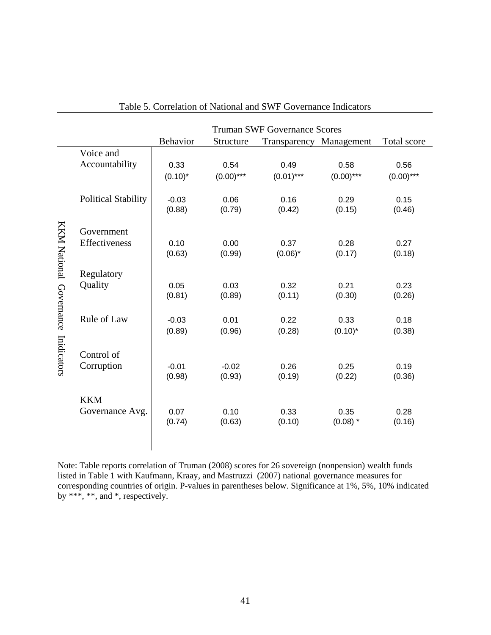|                         |                            | <b>Truman SWF Governance Scores</b> |                |                |                         |                |  |  |  |
|-------------------------|----------------------------|-------------------------------------|----------------|----------------|-------------------------|----------------|--|--|--|
|                         |                            | <b>Behavior</b>                     | Structure      |                | Transparency Management | Total score    |  |  |  |
|                         | Voice and                  | 0.33                                | 0.54           | 0.49           | 0.58                    | 0.56           |  |  |  |
|                         | Accountability             | $(0.10)^*$                          | $(0.00)$ ***   | $(0.01)$ ***   | $(0.00)$ ***            | $(0.00)$ ***   |  |  |  |
|                         | <b>Political Stability</b> | $-0.03$<br>(0.88)                   | 0.06<br>(0.79) | 0.16<br>(0.42) | 0.29<br>(0.15)          | 0.15<br>(0.46) |  |  |  |
|                         | Government                 | 0.10                                | 0.00           | 0.37           | 0.28                    | 0.27           |  |  |  |
|                         | Effectiveness              | (0.63)                              | (0.99)         | $(0.06)^*$     | (0.17)                  | (0.18)         |  |  |  |
| KKM National Governance | Regulatory                 | 0.05                                | 0.03           | 0.32           | 0.21                    | 0.23           |  |  |  |
|                         | Quality                    | (0.81)                              | (0.89)         | (0.11)         | (0.30)                  | (0.26)         |  |  |  |
|                         | Rule of Law                | $-0.03$<br>(0.89)                   | 0.01<br>(0.96) | 0.22<br>(0.28) | 0.33<br>$(0.10)^*$      | 0.18<br>(0.38) |  |  |  |
| Inidicators             | Control of                 | $-0.01$                             | $-0.02$        | 0.26           | 0.25                    | 0.19           |  |  |  |
|                         | Corruption                 | (0.98)                              | (0.93)         | (0.19)         | (0.22)                  | (0.36)         |  |  |  |
|                         | <b>KKM</b>                 | 0.07                                | 0.10           | 0.33           | 0.35                    | 0.28           |  |  |  |
|                         | Governance Avg.            | (0.74)                              | (0.63)         | (0.10)         | $(0.08)$ *              | (0.16)         |  |  |  |

| Table 5. Correlation of National and SWF Governance Indicators |  |  |  |  |  |  |
|----------------------------------------------------------------|--|--|--|--|--|--|
|----------------------------------------------------------------|--|--|--|--|--|--|

Note: Table reports correlation of Truman (2008) scores for 26 sovereign (nonpension) wealth funds listed in Table 1 with Kaufmann, Kraay, and Mastruzzi (2007) national governance measures for corresponding countries of origin. P-values in parentheses below. Significance at 1%, 5%, 10% indicated by \*\*\*, \*\*, and \*, respectively.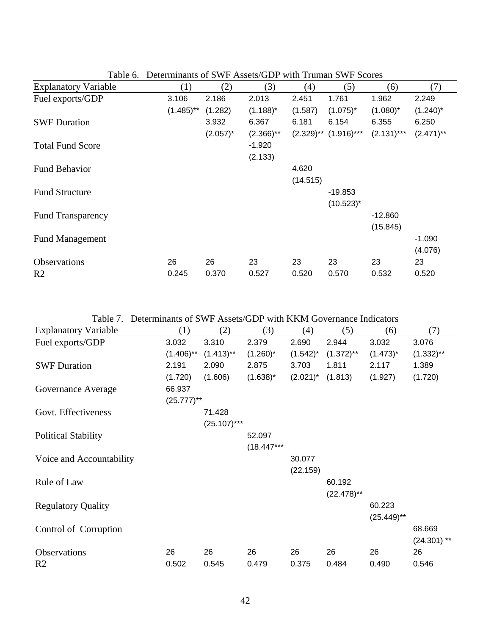| <b>Explanatory Variable</b> | (1)          | (2)         | (3)          | (4)      | (5)                                              | (6)          | (7)          |
|-----------------------------|--------------|-------------|--------------|----------|--------------------------------------------------|--------------|--------------|
| Fuel exports/GDP            | 3.106        | 2.186       | 2.013        | 2.451    | 1.761                                            | 1.962        | 2.249        |
|                             | $(1.485)$ ** | (1.282)     | $(1.188)^*$  | (1.587)  | $(1.075)^*$                                      | $(1.080)^*$  | $(1.240)^*$  |
| <b>SWF Duration</b>         |              | 3.932       | 6.367        | 6.181    | 6.154                                            | 6.355        | 6.250        |
|                             |              | $(2.057)^*$ | $(2.366)$ ** |          | $(2.329)$ <sup>**</sup> $(1.916)$ <sup>***</sup> | $(2.131)***$ | $(2.471)$ ** |
| <b>Total Fund Score</b>     |              |             | $-1.920$     |          |                                                  |              |              |
|                             |              |             | (2.133)      |          |                                                  |              |              |
| <b>Fund Behavior</b>        |              |             |              | 4.620    |                                                  |              |              |
|                             |              |             |              | (14.515) |                                                  |              |              |
| <b>Fund Structure</b>       |              |             |              |          | $-19.853$                                        |              |              |
|                             |              |             |              |          | $(10.523)^{*}$                                   |              |              |
| <b>Fund Transparency</b>    |              |             |              |          |                                                  | $-12.860$    |              |
|                             |              |             |              |          |                                                  | (15.845)     |              |
| <b>Fund Management</b>      |              |             |              |          |                                                  |              | $-1.090$     |
|                             |              |             |              |          |                                                  |              | (4.076)      |
| <b>Observations</b>         | 26           | 26          | 23           | 23       | 23                                               | 23           | 23           |
| R <sub>2</sub>              | 0.245        | 0.370       | 0.527        | 0.520    | 0.570                                            | 0.532        | 0.520        |

Table 6. Determinants of SWF Assets/GDP with Truman SWF Scores

Table 7. Determinants of SWF Assets/GDP with KKM Governance Indicators

| <b>Explanatory Variable</b> | (1)           | (2)            | (3)          | (4)           | (5)           | (6)           | (7)           |
|-----------------------------|---------------|----------------|--------------|---------------|---------------|---------------|---------------|
| Fuel exports/GDP            | 3.032         | 3.310          | 2.379        | 2.690         | 2.944         | 3.032         | 3.076         |
|                             | $(1.406)$ **  | $(1.413)$ **   | $(1.260)^*$  | $(1.542)^{*}$ | $(1.372)$ **  | $(1.473)^*$   | $(1.332)$ **  |
| <b>SWF Duration</b>         | 2.191         | 2.090          | 2.875        | 3.703         | 1.811         | 2.117         | 1.389         |
|                             | (1.720)       | (1.606)        | $(1.638)^*$  | $(2.021)^*$   | (1.813)       | (1.927)       | (1.720)       |
| Governance Average          | 66.937        |                |              |               |               |               |               |
|                             | $(25.777)$ ** |                |              |               |               |               |               |
| Govt. Effectiveness         |               | 71.428         |              |               |               |               |               |
|                             |               | $(25.107)$ *** |              |               |               |               |               |
| <b>Political Stability</b>  |               |                | 52.097       |               |               |               |               |
|                             |               |                | $(18.447***$ |               |               |               |               |
| Voice and Accountability    |               |                |              | 30.077        |               |               |               |
|                             |               |                |              | (22.159)      |               |               |               |
| Rule of Law                 |               |                |              |               | 60.192        |               |               |
|                             |               |                |              |               | $(22.478)$ ** |               |               |
| <b>Regulatory Quality</b>   |               |                |              |               |               | 60.223        |               |
|                             |               |                |              |               |               | $(25.449)$ ** |               |
| Control of Corruption       |               |                |              |               |               |               | 68.669        |
|                             |               |                |              |               |               |               | $(24.301)$ ** |
| Observations                | 26            | 26             | 26           | 26            | 26            | 26            | 26            |
| R <sub>2</sub>              | 0.502         | 0.545          | 0.479        | 0.375         | 0.484         | 0.490         | 0.546         |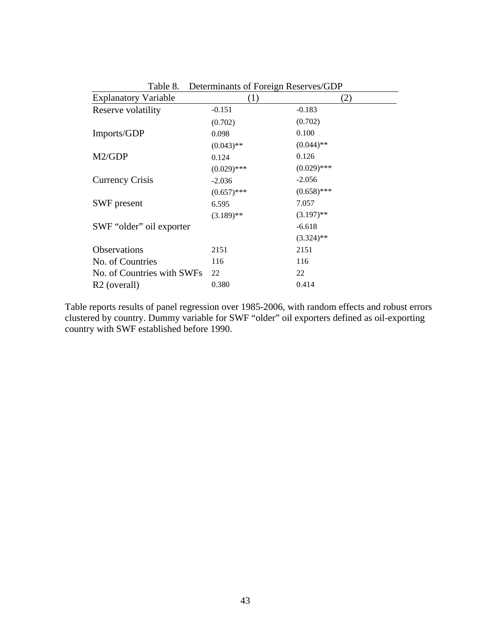| Table 8.<br>Determinants of Foreign Reserves/GDP |               |               |  |  |  |  |
|--------------------------------------------------|---------------|---------------|--|--|--|--|
| <b>Explanatory Variable</b>                      | (1)           | (2)           |  |  |  |  |
| Reserve volatility                               | $-0.151$      | $-0.183$      |  |  |  |  |
|                                                  | (0.702)       | (0.702)       |  |  |  |  |
| Imports/GDP                                      | 0.098         | 0.100         |  |  |  |  |
|                                                  | $(0.043)$ **  | $(0.044)$ **  |  |  |  |  |
| M2/GDP                                           | 0.124         | 0.126         |  |  |  |  |
|                                                  | $(0.029)$ *** | $(0.029)$ *** |  |  |  |  |
| <b>Currency Crisis</b>                           | $-2.036$      | $-2.056$      |  |  |  |  |
|                                                  | $(0.657)$ *** | $(0.658)$ *** |  |  |  |  |
| SWF present                                      | 6.595         | 7.057         |  |  |  |  |
|                                                  | $(3.189)$ **  | $(3.197)$ **  |  |  |  |  |
| SWF "older" oil exporter                         |               | $-6.618$      |  |  |  |  |
|                                                  |               | $(3.324)$ **  |  |  |  |  |
| Observations                                     | 2151          | 2151          |  |  |  |  |
| No. of Countries                                 | 116           | 116           |  |  |  |  |
| No. of Countries with SWFs                       | 22            | 22            |  |  |  |  |
| R <sub>2</sub> (overall)                         | 0.380         | 0.414         |  |  |  |  |

Table reports results of panel regression over 1985-2006, with random effects and robust errors clustered by country. Dummy variable for SWF "older" oil exporters defined as oil-exporting country with SWF established before 1990.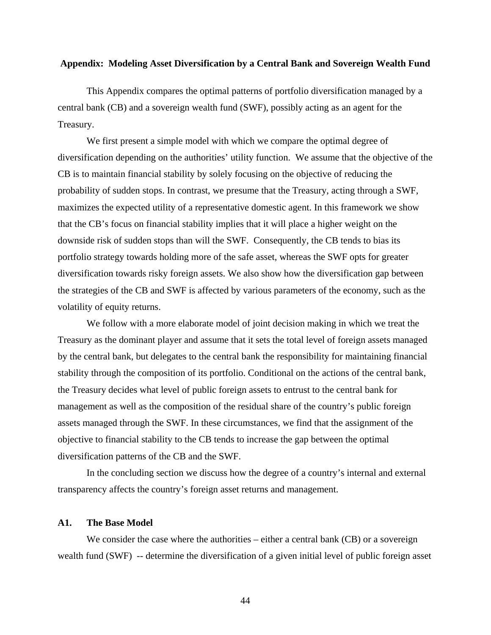# **Appendix: Modeling Asset Diversification by a Central Bank and Sovereign Wealth Fund**

This Appendix compares the optimal patterns of portfolio diversification managed by a central bank (CB) and a sovereign wealth fund (SWF), possibly acting as an agent for the Treasury.

We first present a simple model with which we compare the optimal degree of diversification depending on the authorities' utility function. We assume that the objective of the CB is to maintain financial stability by solely focusing on the objective of reducing the probability of sudden stops. In contrast, we presume that the Treasury, acting through a SWF, maximizes the expected utility of a representative domestic agent. In this framework we show that the CB's focus on financial stability implies that it will place a higher weight on the downside risk of sudden stops than will the SWF. Consequently, the CB tends to bias its portfolio strategy towards holding more of the safe asset, whereas the SWF opts for greater diversification towards risky foreign assets. We also show how the diversification gap between the strategies of the CB and SWF is affected by various parameters of the economy, such as the volatility of equity returns.

We follow with a more elaborate model of joint decision making in which we treat the Treasury as the dominant player and assume that it sets the total level of foreign assets managed by the central bank, but delegates to the central bank the responsibility for maintaining financial stability through the composition of its portfolio. Conditional on the actions of the central bank, the Treasury decides what level of public foreign assets to entrust to the central bank for management as well as the composition of the residual share of the country's public foreign assets managed through the SWF. In these circumstances, we find that the assignment of the objective to financial stability to the CB tends to increase the gap between the optimal diversification patterns of the CB and the SWF.

In the concluding section we discuss how the degree of a country's internal and external transparency affects the country's foreign asset returns and management.

# **A1. The Base Model**

We consider the case where the authorities – either a central bank (CB) or a sovereign wealth fund (SWF) -- determine the diversification of a given initial level of public foreign asset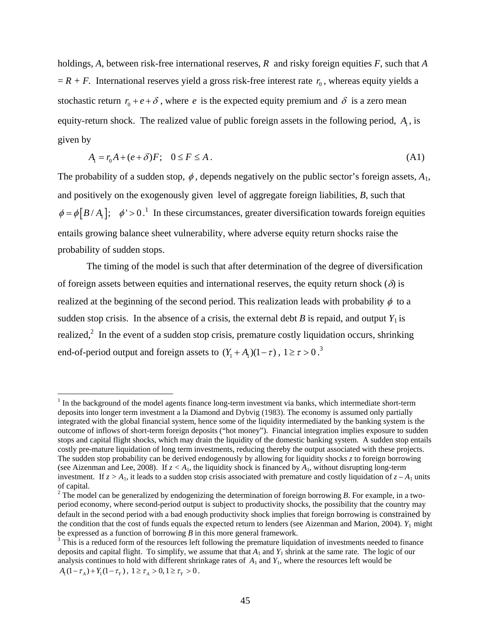holdings, *A*, between risk-free international reserves, *R* and risky foreign equities *F*, such that *A*  $R + F$ . International reserves yield a gross risk-free interest rate  $r_0$ , whereas equity yields a stochastic return  $r_0 + e + \delta$ , where *e* is the expected equity premium and  $\delta$  is a zero mean equity-return shock. The realized value of public foreign assets in the following period,  $A<sub>1</sub>$ , is given by

$$
A_1 = r_0 A + (e + \delta) F; \quad 0 \le F \le A. \tag{A1}
$$

The probability of a sudden stop,  $\phi$ , depends negatively on the public sector's foreign assets,  $A_1$ , and positively on the exogenously given level of aggregate foreign liabilities, *B*, such that  $\phi = \phi [B/A_1]$ ;  $\phi' > 0$ .<sup>1</sup> In these circumstances, greater diversification towards foreign equities entails growing balance sheet vulnerability, where adverse equity return shocks raise the probability of sudden stops.

The timing of the model is such that after determination of the degree of diversification of foreign assets between equities and international reserves, the equity return shock ( $\delta$ ) is realized at the beginning of the second period. This realization leads with probability  $\phi$  to a sudden stop crisis. In the absence of a crisis, the external debt *B* is repaid, and output  $Y_1$  is realized,<sup>2</sup> In the event of a sudden stop crisis, premature costly liquidation occurs, shrinking end-of-period output and foreign assets to  $(Y_1 + A_1)(1 - \tau)$ ,  $1 \ge \tau > 0$ .<sup>3</sup>

 $1$  In the background of the model agents finance long-term investment via banks, which intermediate short-term deposits into longer term investment a la Diamond and Dybvig (1983). The economy is assumed only partially integrated with the global financial system, hence some of the liquidity intermediated by the banking system is the outcome of inflows of short-term foreign deposits ("hot money"). Financial integration implies exposure to sudden stops and capital flight shocks, which may drain the liquidity of the domestic banking system. A sudden stop entails costly pre-mature liquidation of long term investments, reducing thereby the output associated with these projects. The sudden stop probability can be derived endogenously by allowing for liquidity shocks *z* to foreign borrowing (see Aizenman and Lee, 2008). If  $z < A_1$ , the liquidity shock is financed by  $A_1$ , without disrupting long-term investment. If  $z > A_1$ , it leads to a sudden stop crisis associated with premature and costly liquidation of  $z - A_1$  units of capital.

 $2^2$  The model can be generalized by endogenizing the determination of foreign borrowing *B*. For example, in a twoperiod economy, where second-period output is subject to productivity shocks, the possibility that the country may default in the second period with a bad enough productivity shock implies that foreign borrowing is constrained by the condition that the cost of funds equals the expected return to lenders (see Aizenman and Marion, 2004). *Y*1 might be expressed as a function of borrowing  $B$  in this more general framework.

<sup>&</sup>lt;sup>3</sup> This is a reduced form of the resources left following the premature liquidation of investments needed to finance deposits and capital flight. To simplify, we assume that that  $A_1$  and  $Y_1$  shrink at the same rate. The logic of our analysis continues to hold with different shrinkage rates of *A*1 and *Y*1, where the resources left would be  $A_1 (1 - \tau_A) + Y_1 (1 - \tau_Y), \ 1 \ge \tau_A > 0, \ 1 \ge \tau_Y > 0.$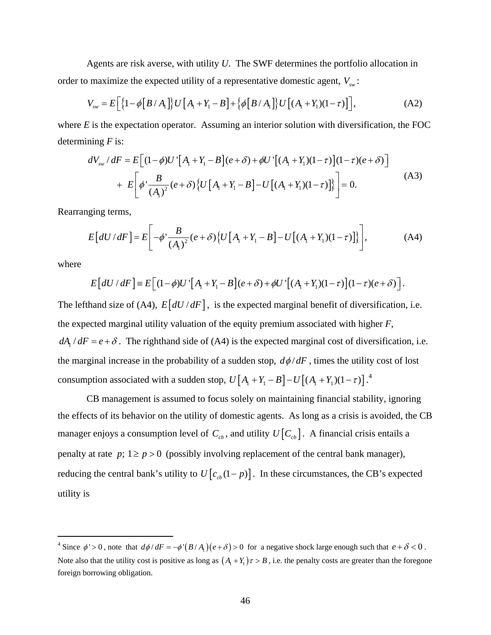Agents are risk averse, with utility *U*. The SWF determines the portfolio allocation in order to maximize the expected utility of a representative domestic agent,  $V_{sw}$ :

$$
V_{\rm sw} = E\Big[\big\{1 - \phi\big[B/A_1\big]\big\} U\big[A_1 + Y_1 - B\big] + \big\{\phi\big[B/A_1\big]\big\} U\big[(A_1 + Y_1)(1 - \tau)\big]\Big],\tag{A2}
$$

where *E* is the expectation operator. Assuming an interior solution with diversification, the FOC determining *F* is:

$$
dV_{sw} / dF = E \Big[ (1 - \phi) U' \Big[ A_1 + Y_1 - B \Big] (e + \delta) + \phi U' \Big[ (A_1 + Y_1)(1 - \tau) \Big] (1 - \tau) (e + \delta) \Big] + E \Big[ \phi' \frac{B}{(A_1)^2} (e + \delta) \Big\{ U \Big[ A_1 + Y_1 - B \Big] - U \Big[ (A_1 + Y_1)(1 - \tau) \Big] \Big\} = 0.
$$
 (A3)

Rearranging terms,

$$
E\left[dU/dF\right] = E\left[-\phi'\frac{B}{\left(A_{1}\right)^{2}}(e+\delta)\left\{U\left[A_{1}+Y_{1}-B\right]-U\left[(A_{1}+Y_{1})(1-\tau)\right]\right\}\right],
$$
 (A4)

where

1

$$
E\big[dU/dF\big] = E\big[(1-\phi)U'\big[A_1+Y_1-B\big](e+\delta) + \phi U'\big[(A_1+Y_1)(1-\tau)\big](1-\tau)(e+\delta)\big].
$$

The lefthand size of (A4),  $E[dU/dF]$ , is the expected marginal benefit of diversification, i.e. the expected marginal utility valuation of the equity premium associated with higher *F*,  $dA_1/dF = e + \delta$ . The righthand side of (A4) is the expected marginal cost of diversification, i.e. the marginal increase in the probability of a sudden stop,  $d\phi/dF$ , times the utility cost of lost consumption associated with a sudden stop,  $U[A_1 + Y_1 - B] - U[(A_1 + Y_1)(1 - \tau)]$ .<sup>4</sup>

CB management is assumed to focus solely on maintaining financial stability, ignoring the effects of its behavior on the utility of domestic agents. As long as a crisis is avoided, the CB manager enjoys a consumption level of  $C_{cb}$ , and utility  $U[C_{cb}]$ . A financial crisis entails a penalty at rate  $p$ ;  $1 \ge p > 0$  (possibly involving replacement of the central bank manager), reducing the central bank's utility to  $U[c_{cb}(1-p)]$ . In these circumstances, the CB's expected utility is

<sup>&</sup>lt;sup>4</sup> Since  $\phi' > 0$ , note that  $d\phi/dF = -\phi'(B/A_1)(e+\delta) > 0$  for a negative shock large enough such that  $e+\delta < 0$ . Note also that the utility cost is positive as long as  $(A_1 + Y_1)\tau > B$ , i.e. the penalty costs are greater than the foregone foreign borrowing obligation.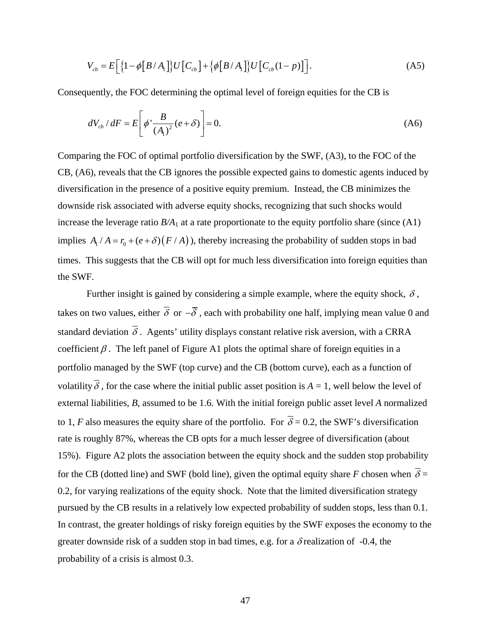$$
V_{cb} = E\left[\left\{1 - \phi\left[B/A_1\right]\right\}U\left[C_{cb}\right] + \left\{\phi\left[B/A_1\right]\right\}U\left[C_{cb}(1-p)\right]\right].\tag{A5}
$$

Consequently, the FOC determining the optimal level of foreign equities for the CB is

$$
dV_{cb} / dF = E\left[\phi' \frac{B}{\left(A_1\right)^2} (e + \delta)\right] = 0. \tag{A6}
$$

Comparing the FOC of optimal portfolio diversification by the SWF, (A3), to the FOC of the CB, (A6), reveals that the CB ignores the possible expected gains to domestic agents induced by diversification in the presence of a positive equity premium. Instead, the CB minimizes the downside risk associated with adverse equity shocks, recognizing that such shocks would increase the leverage ratio  $B/A<sub>1</sub>$  at a rate proportionate to the equity portfolio share (since  $(A1)$ ) implies  $A_1 / A = r_0 + (e + \delta) (F / A)$ , thereby increasing the probability of sudden stops in bad times. This suggests that the CB will opt for much less diversification into foreign equities than the SWF.

Further insight is gained by considering a simple example, where the equity shock,  $\delta$ , takes on two values, either  $\overline{\delta}$  or  $-\overline{\delta}$ , each with probability one half, implying mean value 0 and standard deviation  $\overline{\delta}$ . Agents' utility displays constant relative risk aversion, with a CRRA coefficient  $\beta$ . The left panel of Figure A1 plots the optimal share of foreign equities in a portfolio managed by the SWF (top curve) and the CB (bottom curve), each as a function of volatility  $\overline{\delta}$ , for the case where the initial public asset position is  $A = 1$ , well below the level of external liabilities, *B,* assumed to be 1.6. With the initial foreign public asset level *A* normalized to 1, *F* also measures the equity share of the portfolio. For  $\overline{\delta} = 0.2$ , the SWF's diversification rate is roughly 87%, whereas the CB opts for a much lesser degree of diversification (about 15%). Figure A2 plots the association between the equity shock and the sudden stop probability for the CB (dotted line) and SWF (bold line), given the optimal equity share *F* chosen when  $\overline{\delta}$  = 0.2, for varying realizations of the equity shock. Note that the limited diversification strategy pursued by the CB results in a relatively low expected probability of sudden stops, less than 0.1. In contrast, the greater holdings of risky foreign equities by the SWF exposes the economy to the greater downside risk of a sudden stop in bad times, e.g. for a  $\delta$  realization of -0.4, the probability of a crisis is almost 0.3.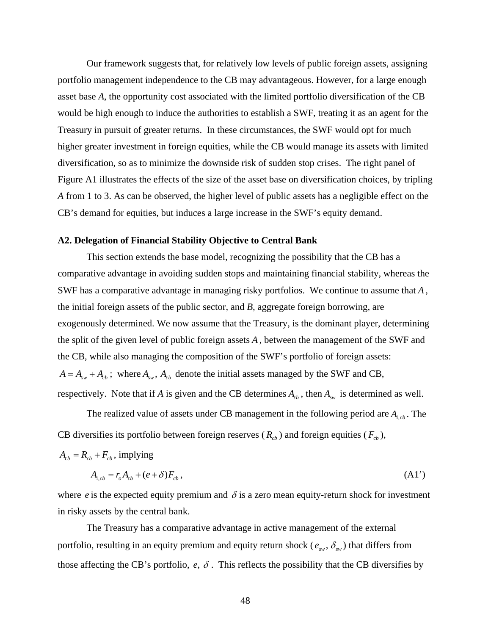Our framework suggests that, for relatively low levels of public foreign assets, assigning portfolio management independence to the CB may advantageous. However, for a large enough asset base *A*, the opportunity cost associated with the limited portfolio diversification of the CB would be high enough to induce the authorities to establish a SWF, treating it as an agent for the Treasury in pursuit of greater returns. In these circumstances, the SWF would opt for much higher greater investment in foreign equities, while the CB would manage its assets with limited diversification, so as to minimize the downside risk of sudden stop crises. The right panel of Figure A1 illustrates the effects of the size of the asset base on diversification choices, by tripling *A* from 1 to 3. As can be observed, the higher level of public assets has a negligible effect on the CB's demand for equities, but induces a large increase in the SWF's equity demand.

## **A2. Delegation of Financial Stability Objective to Central Bank**

This section extends the base model, recognizing the possibility that the CB has a comparative advantage in avoiding sudden stops and maintaining financial stability, whereas the SWF has a comparative advantage in managing risky portfolios. We continue to assume that *A* , the initial foreign assets of the public sector, and *B*, aggregate foreign borrowing, are exogenously determined. We now assume that the Treasury, is the dominant player, determining the split of the given level of public foreign assets *A* , between the management of the SWF and the CB, while also managing the composition of the SWF's portfolio of foreign assets:  $A = A_{sw} + A_{cb}$ ; where  $A_{sw}$ ,  $A_{cb}$  denote the initial assets managed by the SWF and CB, respectively. Note that if *A* is given and the CB determines  $A_{cb}$ , then  $A_{sw}$  is determined as well.

The realized value of assets under CB management in the following period are  $A_{1,cb}$ . The CB diversifies its portfolio between foreign reserves  $(R_{cb})$  and foreign equities  $(F_{cb})$ ,

$$
A_{cb} = R_{cb} + F_{cb}
$$
, implying

$$
A_{1,cb} = r_o A_{cb} + (e + \delta) F_{cb}, \tag{A1'}
$$

where *e* is the expected equity premium and  $\delta$  is a zero mean equity-return shock for investment in risky assets by the central bank.

The Treasury has a comparative advantage in active management of the external portfolio, resulting in an equity premium and equity return shock ( $e_{\mu\nu}$ ,  $\delta_{\nu\nu}$ ) that differs from those affecting the CB's portfolio,  $e$ ,  $\delta$ . This reflects the possibility that the CB diversifies by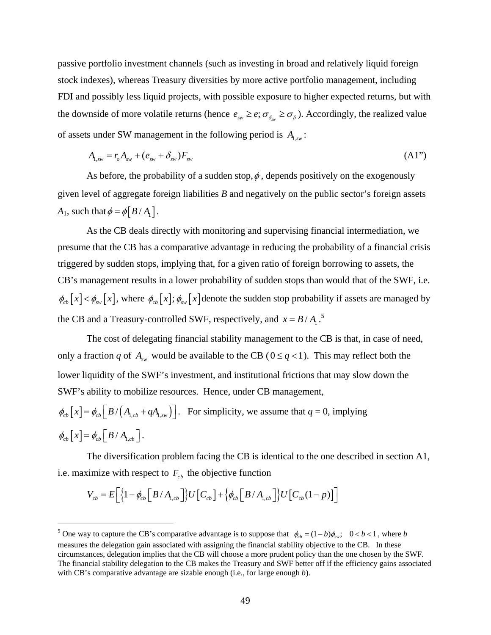passive portfolio investment channels (such as investing in broad and relatively liquid foreign stock indexes), whereas Treasury diversities by more active portfolio management, including FDI and possibly less liquid projects, with possible exposure to higher expected returns, but with the downside of more volatile returns (hence  $e_{sw} \geq e$ ;  $\sigma_{\delta_w} \geq \sigma_{\delta}$ ). Accordingly, the realized value of assets under SW management in the following period is  $A_{1,sw}$ :

$$
A_{1,sw} = r_o A_{sw} + (e_{sw} + \delta_{sw}) F_{sw}
$$
 (A1")

As before, the probability of a sudden stop,  $\phi$ , depends positively on the exogenously given level of aggregate foreign liabilities *B* and negatively on the public sector's foreign assets *A*<sub>1</sub>, such that  $\phi = \phi \left[ \frac{B}{A_1} \right]$ .

As the CB deals directly with monitoring and supervising financial intermediation, we presume that the CB has a comparative advantage in reducing the probability of a financial crisis triggered by sudden stops, implying that, for a given ratio of foreign borrowing to assets, the CB's management results in a lower probability of sudden stops than would that of the SWF, i.e.  $\phi_{cb}[x] < \phi_{sw}[x]$ , where  $\phi_{cb}[x]$ ;  $\phi_{sw}[x]$  denote the sudden stop probability if assets are managed by the CB and a Treasury-controlled SWF, respectively, and  $x = B/A_1$ .<sup>5</sup>

The cost of delegating financial stability management to the CB is that, in case of need, only a fraction *q* of  $A_{sw}$  would be available to the CB ( $0 \le q < 1$ ). This may reflect both the lower liquidity of the SWF's investment, and institutional frictions that may slow down the SWF's ability to mobilize resources. Hence, under CB management,

$$
\phi_{cb}[x] = \phi_{cb}[B/(A_{1,cb} + qA_{1,sw})].
$$
 For simplicity, we assume that  $q = 0$ , implying  

$$
\phi_{cb}[x] = \phi_{cb}[B/A_{1,cb}].
$$

The diversification problem facing the CB is identical to the one described in section A1, i.e. maximize with respect to  $F_{cb}$  the objective function

$$
V_{cb} = E\bigg[\bigg\{1 - \phi_{cb}\bigg[B/A_{1,cb}\bigg]\bigg\}U\bigg[C_{cb}\bigg] + \bigg\{\phi_{cb}\bigg[B/A_{1,cb}\bigg]\bigg\}U\bigg[C_{cb}(1-p)\bigg]\bigg]
$$

<sup>5</sup> One way to capture the CB's comparative advantage is to suppose that  $\phi_{cb} = (1 - b)\phi_{sw}$ ; 0 < *b* < 1, where *b* measures the delegation gain associated with assigning the financial stability objective to the CB. In these circumstances, delegation implies that the CB will choose a more prudent policy than the one chosen by the SWF. The financial stability delegation to the CB makes the Treasury and SWF better off if the efficiency gains associated with CB's comparative advantage are sizable enough (i.e., for large enough *b*).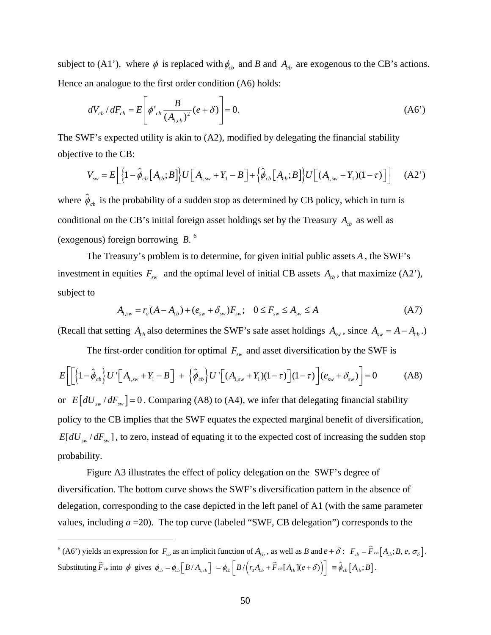subject to (A1'), where  $\phi$  is replaced with  $\phi_{cb}$  and *B* and  $A_{cb}$  are exogenous to the CB's actions. Hence an analogue to the first order condition (A6) holds:

$$
dV_{cb} / dF_{cb} = E \left[ \phi'_{cb} \frac{B}{(A_{1,cb})^2} (e + \delta) \right] = 0.
$$
 (A6')

The SWF's expected utility is akin to (A2), modified by delegating the financial stability objective to the CB:

$$
V_{sw} = E\bigg[\bigg\{1 - \hat{\phi}_{cb}\big[A_{cb};B\big]\bigg\}U\bigg[A_{1,sw} + Y_1 - B\bigg] + \bigg\{\hat{\phi}_{cb}\big[A_{cb};B\big]\bigg\}U\bigg[(A_{1,sw} + Y_1)(1-\tau)\bigg]\bigg] \tag{A2'}
$$

where  $\hat{\phi}_{cb}$  is the probability of a sudden stop as determined by CB policy, which in turn is conditional on the CB's initial foreign asset holdings set by the Treasury  $A_{cb}$  as well as (exogenous) foreign borrowing *B*. 6

The Treasury's problem is to determine, for given initial public assets *A* , the SWF's investment in equities  $F_{sw}$  and the optimal level of initial CB assets  $A_{cb}$ , that maximize (A2'), subject to

$$
A_{1,sw} = r_o(A - A_{cb}) + (e_{sw} + \delta_{sw})F_{sw}; \quad 0 \le F_{sw} \le A_{sw} \le A
$$
 (A7)

(Recall that setting  $A_{cb}$  also determines the SWF's safe asset holdings  $A_{sw}$ , since  $A_{sw} = A - A_{cb}$ .)

The first-order condition for optimal  $F_{sw}$  and asset diversification by the SWF is

$$
E\bigg[\bigg[\bigg\{1-\hat{\phi}_{cb}\bigg\}U'\bigg[A_{1,sw}+Y_1-B\bigg] + \bigg\{\hat{\phi}_{cb}\bigg\}U'\bigg[\big(A_{1,sw}+Y_1\big)(1-\tau)\bigg](1-\tau)\bigg]\big(e_{sw}+\delta_{sw}\bigg)\bigg] = 0\tag{A8}
$$

or  $E \left[ dU_{sw} / dF_{sw} \right] = 0$ . Comparing (A8) to (A4), we infer that delegating financial stability policy to the CB implies that the SWF equates the expected marginal benefit of diversification,  $E[dU_{sw}/dF_{sw}]$ , to zero, instead of equating it to the expected cost of increasing the sudden stop probability.

Figure A3 illustrates the effect of policy delegation on the SWF's degree of diversification. The bottom curve shows the SWF's diversification pattern in the absence of delegation, corresponding to the case depicted in the left panel of A1 (with the same parameter values, including  $a = 20$ ). The top curve (labeled "SWF, CB delegation") corresponds to the

<sup>&</sup>lt;sup>6</sup> (A6') yields an expression for  $F_{cb}$  as an implicit function of  $A_{cb}$ , as well as *B* and  $e + \delta$ :  $F_{cb} = \hat{F}_{cb} [A_{cb}; B, e, \sigma_{\delta}]$ . Substituting  $\hat{F}_{cb}$  into  $\phi$  gives  $\phi_{cb} = \phi_{cb} \left[ B / A_{1, cb} \right] = \phi_{cb} \left[ B / \left( r_0 A_{cb} + \hat{F}_{cb} [A_{cb}](e + \delta) \right) \right] = \hat{\phi}_{cb} \left[ A_{cb} ; B \right]$ .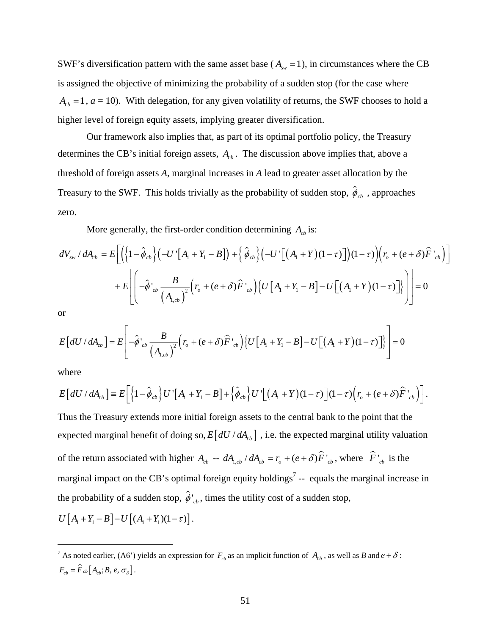SWF's diversification pattern with the same asset base ( $A_{\text{sw}} = 1$ ), in circumstances where the CB is assigned the objective of minimizing the probability of a sudden stop (for the case where  $A<sub>cb</sub> = 1$ ,  $a = 10$ ). With delegation, for any given volatility of returns, the SWF chooses to hold a higher level of foreign equity assets, implying greater diversification.

Our framework also implies that, as part of its optimal portfolio policy, the Treasury determines the CB's initial foreign assets,  $A<sub>cb</sub>$ . The discussion above implies that, above a threshold of foreign assets *A*, marginal increases in *A* lead to greater asset allocation by the Treasury to the SWF. This holds trivially as the probability of sudden stop,  $\hat{\phi}_{cb}$ , approaches zero.

More generally, the first-order condition determining  $A<sub>cb</sub>$  is:

$$
dV_{sw} / dA_{cb} = E\left[\left(\left\{1-\hat{\phi}_{cb}\right\}\left(-U\left[\left(A_{1}+Y_{1}-B\right]\right)+\left\{\hat{\phi}_{cb}\right\}\left(-U\left[\left(A_{1}+Y\right)(1-\tau)\right]\right)(1-\tau)\right)\left(r_{o} + (e+\delta)\hat{F}\right]_{cb}\right)\right]
$$

$$
+ E\left[\left(-\hat{\phi}\right]_{cb} \frac{B}{\left(A_{1,cb}\right)^{2}}\left(r_{o} + (e+\delta)\hat{F}\right)_{cb}\right)\left\{U\left[A_{1}+Y_{1}-B\right]-U\left[\left(A_{1}+Y\right)(1-\tau)\right]\right\}\right] = 0
$$

or

$$
E\left[dU/dA_{cb}\right] = E\left[-\hat{\phi}_{cb}\frac{B}{\left(A_{1,cb}\right)^{2}}\left(r_{o} + (e+\delta)\hat{F}_{cb}\right)\left\{U\left[A_{1} + Y_{1} - B\right] - U\left[\left(A_{1} + Y\right)(1-\tau)\right]\right\}\right] = 0
$$

where

1

$$
E\left[dU/dA_{cb}\right] = E\left[\left\{1-\hat{\phi}_{cb}\right\}U'\left[A_{1}+Y_{1}-B\right]+\left\{\hat{\phi}_{cb}\right\}U'\left[\left(A_{1}+Y\right)(1-\tau)\right](1-\tau)\left(r_{b}+(e+\delta)\hat{F}\right]_{cb}\right)\right].
$$

Thus the Treasury extends more initial foreign assets to the central bank to the point that the expected marginal benefit of doing so,  $E \left[ dU / dA_{cb} \right]$ , i.e. the expected marginal utility valuation of the return associated with higher  $A_{cb} - dA_{1, cb}/ dA_{cb} = r_o + (e + \delta) \hat{F}^i_{cb}$ , where  $\hat{F}^i_{cb}$  is the marginal impact on the CB's optimal foreign equity holdings<sup>7</sup> -- equals the marginal increase in the probability of a sudden stop,  $\hat{\phi}_{cb}$ , times the utility cost of a sudden stop,  $U[A_1 + Y_1 - B] - U[(A_1 + Y_1)(1 - \tau)].$ 

<sup>&</sup>lt;sup>7</sup> As noted earlier, (A6') yields an expression for  $F_{cb}$  as an implicit function of  $A_{cb}$ , as well as *B* and  $e + \delta$ :  $F_{cb} = \hat{F}_{cb} [A_{cb}; B, e, \sigma_{\delta}].$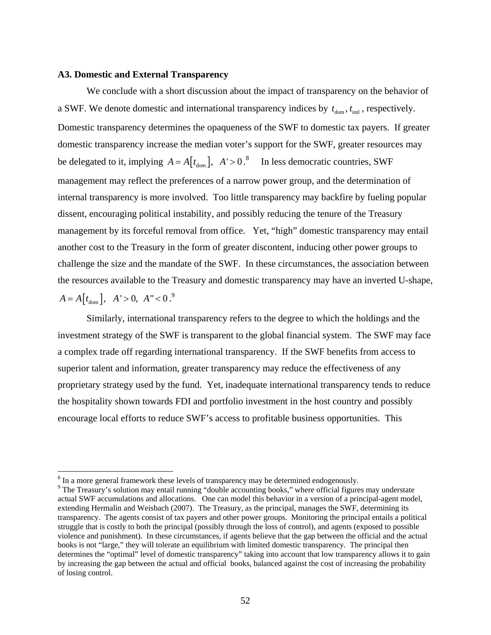### **A3. Domestic and External Transparency**

We conclude with a short discussion about the impact of transparency on the behavior of a SWF. We denote domestic and international transparency indices by  $t_{dom}$ ,  $t_{int}$ , respectively. Domestic transparency determines the opaqueness of the SWF to domestic tax payers. If greater domestic transparency increase the median voter's support for the SWF, greater resources may be delegated to it, implying  $A = A[t_{\text{dom}}], A' > 0$ .<sup>8</sup> In less democratic countries, SWF management may reflect the preferences of a narrow power group, and the determination of internal transparency is more involved. Too little transparency may backfire by fueling popular dissent, encouraging political instability, and possibly reducing the tenure of the Treasury management by its forceful removal from office. Yet, "high" domestic transparency may entail another cost to the Treasury in the form of greater discontent, inducing other power groups to challenge the size and the mandate of the SWF. In these circumstances, the association between the resources available to the Treasury and domestic transparency may have an inverted U-shape,  $A = A[t_{\text{dom}}], A' > 0, A'' < 0.^9$ 

Similarly, international transparency refers to the degree to which the holdings and the investment strategy of the SWF is transparent to the global financial system. The SWF may face a complex trade off regarding international transparency. If the SWF benefits from access to superior talent and information, greater transparency may reduce the effectiveness of any proprietary strategy used by the fund. Yet, inadequate international transparency tends to reduce the hospitality shown towards FDI and portfolio investment in the host country and possibly encourage local efforts to reduce SWF's access to profitable business opportunities. This

 $8 \text{ In a more general framework, these levels of transparency may be determined endogenously.}$ 

<sup>&</sup>lt;sup>9</sup> The Treasury's solution may entail running "double accounting books," where official figures may understate actual SWF accumulations and allocations. One can model this behavior in a version of a principal-agent model, extending Hermalin and Weisbach (2007). The Treasury, as the principal, manages the SWF, determining its transparency. The agents consist of tax payers and other power groups. Monitoring the principal entails a political struggle that is costly to both the principal (possibly through the loss of control), and agents (exposed to possible violence and punishment). In these circumstances, if agents believe that the gap between the official and the actual books is not "large," they will tolerate an equilibrium with limited domestic transparency. The principal then determines the "optimal" level of domestic transparency" taking into account that low transparency allows it to gain by increasing the gap between the actual and official books, balanced against the cost of increasing the probability of losing control.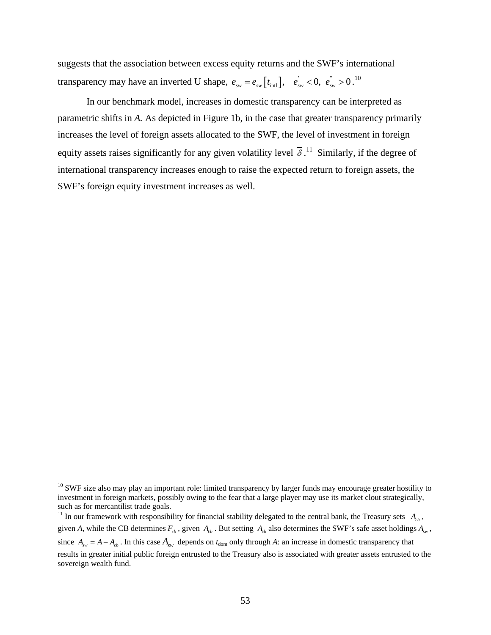suggests that the association between excess equity returns and the SWF's international transparency may have an inverted U shape,  $e_{sw} = e_{sw} [t_{int}], e_{sw}^{'} < 0, e_{sw}^{''} > 0$ .<sup>10</sup>

In our benchmark model, increases in domestic transparency can be interpreted as parametric shifts in *A.* As depicted in Figure 1b, in the case that greater transparency primarily increases the level of foreign assets allocated to the SWF, the level of investment in foreign equity assets raises significantly for any given volatility level  $\overline{\delta}$ .<sup>11</sup> Similarly, if the degree of international transparency increases enough to raise the expected return to foreign assets, the SWF's foreign equity investment increases as well.

<sup>&</sup>lt;sup>10</sup> SWF size also may play an important role: limited transparency by larger funds may encourage greater hostility to investment in foreign markets, possibly owing to the fear that a large player may use its market clout strategically, such as for mercantilist trade goals.

<sup>&</sup>lt;sup>11</sup> In our framework with responsibility for financial stability delegated to the central bank, the Treasury sets  $A_{cb}$ , given *A*, while the CB determines  $F_{cb}$ , given  $A_{cb}$ . But setting  $A_{cb}$  also determines the SWF's safe asset holdings  $A_{sw}$ , since  $A_{\text{sw}} = A - A_{\text{cb}}$ . In this case  $A_{\text{sw}}$  depends on  $t_{\text{dom}}$  only through *A*: an increase in domestic transparency that results in greater initial public foreign entrusted to the Treasury also is associated with greater assets entrusted to the sovereign wealth fund.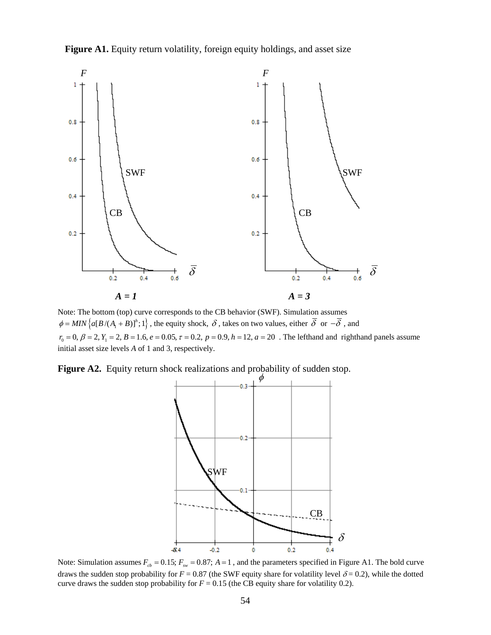



Note: The bottom (top) curve corresponds to the CB behavior (SWF). Simulation assumes  ${\phi} = MIN\{\alpha[B/(A_1+B)]^h;1\}$ , the equity shock,  $\delta$ , takes on two values, either  $\overline{\delta}$  or  $-\overline{\delta}$ , and  $r_0 = 0$ ,  $\beta = 2$ ,  $Y_1 = 2$ ,  $B = 1.6$ ,  $e = 0.05$ ,  $\tau = 0.2$ ,  $p = 0.9$ ,  $h = 12$ ,  $a = 20$ . The lefthand and righthand panels assume initial asset size levels *A* of 1 and 3, respectively.

Figure A2. Equity return shock realizations and probability of sudden stop.



Note: Simulation assumes  $F_{cb} = 0.15$ ;  $F_{sw} = 0.87$ ;  $A = 1$ , and the parameters specified in Figure A1. The bold curve draws the sudden stop probability for  $F = 0.87$  (the SWF equity share for volatility level  $\delta = 0.2$ ), while the dotted curve draws the sudden stop probability for  $F = 0.15$  (the CB equity share for volatility 0.2).